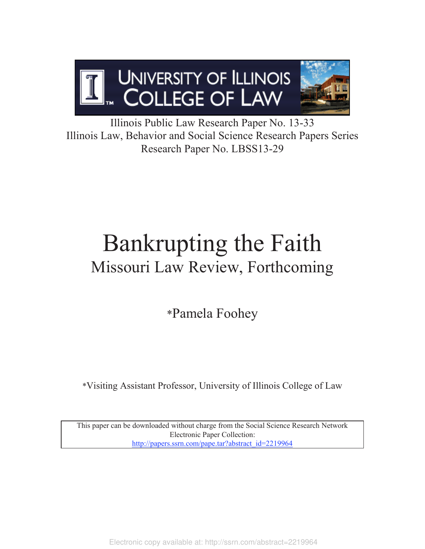

Illinois Public Law Research Paper No. 13-33 Illinois Law, Behavior and Social Science Research Papers Series Research Paper No. LBSS13-29

# Bankrupting the Faith Missouri Law Review, Forthcoming

\*Pamela Foohey

\*Visiting Assistant Professor, University of Illinois College of Law

This paper can be downloaded without charge from the Social Science Research Network Electronic Paper Collection: http://papers.ssrn.com/pape.tar?abstract\_id=2219964

Electronic copy available at: http://ssrn.com/abstract=2219964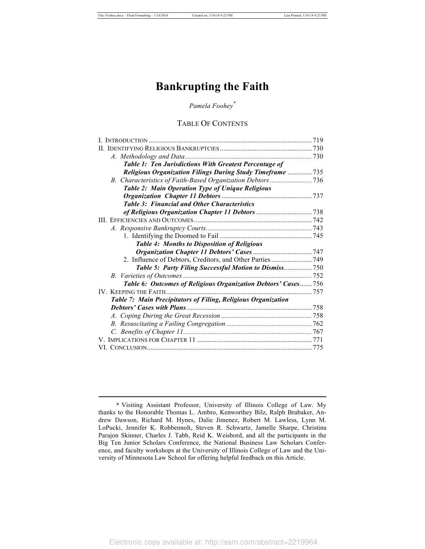# **Bankrupting the Faith**

# *Pamela Foohey\**

# TABLE OF CONTENTS

|                                                                  | 719 |
|------------------------------------------------------------------|-----|
| П.                                                               |     |
|                                                                  |     |
| Table 1: Ten Jurisdictions With Greatest Percentage of           |     |
| <b>Religious Organization Filings During Study Timeframe</b> 735 |     |
|                                                                  |     |
| Table 2: Main Operation Type of Unique Religious                 |     |
|                                                                  |     |
| <b>Table 3: Financial and Other Characteristics</b>              |     |
|                                                                  |     |
|                                                                  |     |
|                                                                  |     |
|                                                                  |     |
| <b>Table 4: Months to Disposition of Religious</b>               |     |
|                                                                  |     |
| 2. Influence of Debtors, Creditors, and Other Parties  749       |     |
| Table 5: Party Filing Successful Motion to Dismiss750            |     |
|                                                                  |     |
| Table 6: Outcomes of Religious Organization Debtors' Cases756    |     |
|                                                                  |     |
| Table 7: Main Precipitators of Filing, Religious Organization    |     |
|                                                                  |     |
|                                                                  |     |
|                                                                  |     |
|                                                                  |     |
|                                                                  |     |
|                                                                  |     |

 <sup>\*</sup> Visiting Assistant Professor, University of Illinois College of Law. My thanks to the Honorable Thomas L. Ambro, Kenworthey Bilz, Ralph Brubaker, Andrew Dawson, Richard M. Hynes, Dalie Jimenez, Robert M. Lawless, Lynn M. LoPucki, Jennifer K. Robbennolt, Steven R. Schwartz, Jamelle Sharpe, Christina Parajon Skinner, Charles J. Tabb, Reid K. Weisbord, and all the participants in the Big Ten Junior Scholars Conference, the National Business Law Scholars Conference, and faculty workshops at the University of Illinois College of Law and the University of Minnesota Law School for offering helpful feedback on this Article.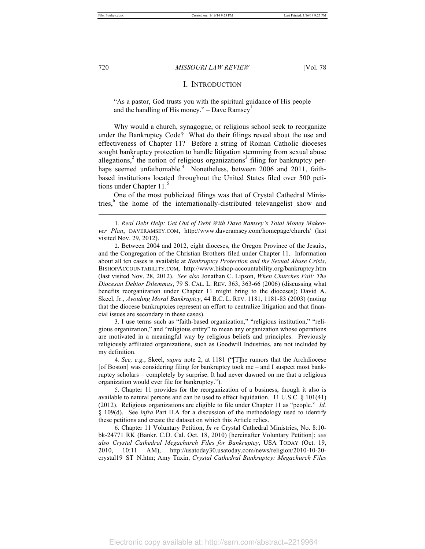# I. INTRODUCTION

"As a pastor, God trusts you with the spiritual guidance of His people and the handling of His money." – Dave Ramsey $<sup>1</sup>$ </sup>

Why would a church, synagogue, or religious school seek to reorganize under the Bankruptcy Code? What do their filings reveal about the use and effectiveness of Chapter 11? Before a string of Roman Catholic dioceses sought bankruptcy protection to handle litigation stemming from sexual abuse allegations,<sup>2</sup> the notion of religious organizations<sup>3</sup> filing for bankruptcy perhaps seemed unfathomable.<sup>4</sup> Nonetheless, between 2006 and 2011, faithbased institutions located throughout the United States filed over 500 petitions under Chapter 11.

One of the most publicized filings was that of Crystal Cathedral Ministries,<sup>6</sup> the home of the internationally-distributed televangelist show and

 3. I use terms such as "faith-based organization," "religious institution," "religious organization," and "religious entity" to mean any organization whose operations are motivated in a meaningful way by religious beliefs and principles. Previously religiously affiliated organizations, such as Goodwill Industries, are not included by my definition.

 4*. See, e.g.*, Skeel, *supra* note 2, at 1181 ("[T]he rumors that the Archdiocese [of Boston] was considering filing for bankruptcy took me – and I suspect most bankruptcy scholars – completely by surprise. It had never dawned on me that a religious organization would ever file for bankruptcy.").

 5. Chapter 11 provides for the reorganization of a business, though it also is available to natural persons and can be used to effect liquidation. 11 U.S.C. § 101(41) (2012). Religious organizations are eligible to file under Chapter 11 as "people." *Id.* § 109(d). See *infra* Part II.A for a discussion of the methodology used to identify these petitions and create the dataset on which this Article relies.

 6. Chapter 11 Voluntary Petition, *In re* Crystal Cathedral Ministries, No. 8:10 bk-24771 RK (Bankr. C.D. Cal. Oct. 18, 2010) [hereinafter Voluntary Petition]; *see also Crystal Cathedral Megachurch Files for Bankruptcy*, USA TODAY (Oct. 19, 2010, 10:11 AM), http://usatoday30.usatoday.com/news/religion/2010-10-20 crystal19\_ST\_N.htm; Amy Taxin, *Crystal Cathedral Bankruptcy: Megachurch Files* 

 <sup>1</sup>*. Real Debt Help: Get Out of Debt With Dave Ramsey's Total Money Makeover Plan*, DAVERAMSEY.COM, http://www.daveramsey.com/homepage/church/ (last visited Nov. 29, 2012).

 <sup>2.</sup> Between 2004 and 2012, eight dioceses, the Oregon Province of the Jesuits, and the Congregation of the Christian Brothers filed under Chapter 11. Information about all ten cases is available at *Bankruptcy Protection and the Sexual Abuse Crisis*, BISHOPACCOUNTABILITY.COM, http://www.bishop-accountability.org/bankruptcy.htm (last visited Nov. 28, 2012). *See also* Jonathan C. Lipson, *When Churches Fail: The Diocesan Debtor Dilemmas*, 79 S. CAL. L. REV. 363, 363-66 (2006) (discussing what benefits reorganization under Chapter 11 might bring to the dioceses); David A. Skeel, Jr., *Avoiding Moral Bankruptcy*, 44 B.C. L. REV. 1181, 1181-83 (2003) (noting that the diocese bankruptcies represent an effort to centralize litigation and that financial issues are secondary in these cases).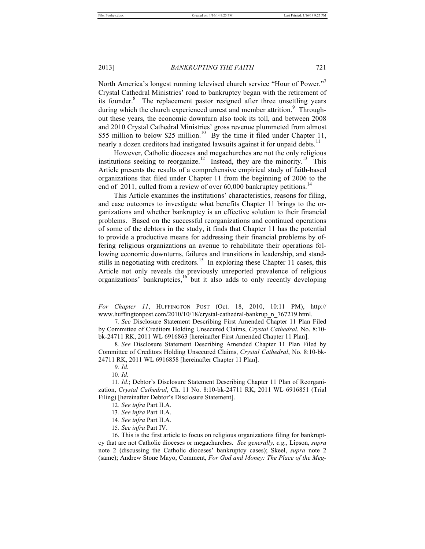North America's longest running televised church service "Hour of Power."<sup>7</sup> Crystal Cathedral Ministries' road to bankruptcy began with the retirement of its founder.<sup>8</sup> The replacement pastor resigned after three unsettling years during which the church experienced unrest and member attrition.<sup>9</sup> Throughout these years, the economic downturn also took its toll, and between 2008 and 2010 Crystal Cathedral Ministries' gross revenue plummeted from almost \$55 million to below \$25 million.<sup>10</sup> By the time it filed under Chapter 11, nearly a dozen creditors had instigated lawsuits against it for unpaid debts.<sup>11</sup>

However, Catholic dioceses and megachurches are not the only religious institutions seeking to reorganize.<sup>12</sup> Instead, they are the minority.<sup>13</sup> This Article presents the results of a comprehensive empirical study of faith-based organizations that filed under Chapter 11 from the beginning of 2006 to the end of 2011, culled from a review of over  $60,000$  bankruptcy petitions.<sup>14</sup>

This Article examines the institutions' characteristics, reasons for filing, and case outcomes to investigate what benefits Chapter 11 brings to the organizations and whether bankruptcy is an effective solution to their financial problems. Based on the successful reorganizations and continued operations of some of the debtors in the study, it finds that Chapter 11 has the potential to provide a productive means for addressing their financial problems by offering religious organizations an avenue to rehabilitate their operations following economic downturns, failures and transitions in leadership, and standstills in negotiating with creditors.<sup>15</sup> In exploring these Chapter 11 cases, this Article not only reveals the previously unreported prevalence of religious organizations' bankruptcies, $16$  but it also adds to only recently developing

9*. Id.* 

l

10*. Id.* 

*For Chapter 11*, HUFFINGTON POST (Oct. 18, 2010, 10:11 PM), http:// www.huffingtonpost.com/2010/10/18/crystal-cathedral-bankrup\_n\_767219.html.

 <sup>7</sup>*. See* Disclosure Statement Describing First Amended Chapter 11 Plan Filed by Committee of Creditors Holding Unsecured Claims, *Crystal Cathedral*, No. 8:10 bk-24711 RK, 2011 WL 6916863 [hereinafter First Amended Chapter 11 Plan].

 <sup>8</sup>*. See* Disclosure Statement Describing Amended Chapter 11 Plan Filed by Committee of Creditors Holding Unsecured Claims, *Crystal Cathedral*, No. 8:10-bk-24711 RK, 2011 WL 6916858 [hereinafter Chapter 11 Plan].

<sup>11</sup>*. Id.*; Debtor's Disclosure Statement Describing Chapter 11 Plan of Reorganization, *Crystal Cathedral*, Ch. 11 No. 8:10-bk-24711 RK, 2011 WL 6916851 (Trial Filing) [hereinafter Debtor's Disclosure Statement].

<sup>12</sup>*. See infra* Part II.A.

<sup>13</sup>*. See infra* Part II.A.

<sup>14</sup>*. See infra* Part II.A.

<sup>15</sup>*. See infra* Part IV.

<sup>16.</sup> This is the first article to focus on religious organizations filing for bankruptcy that are not Catholic dioceses or megachurches. *See generally, e.g.*, Lipson, *supra* note 2 (discussing the Catholic dioceses' bankruptcy cases); Skeel, *supra* note 2 (same); Andrew Stone Mayo, Comment, *For God and Money: The Place of the Meg-*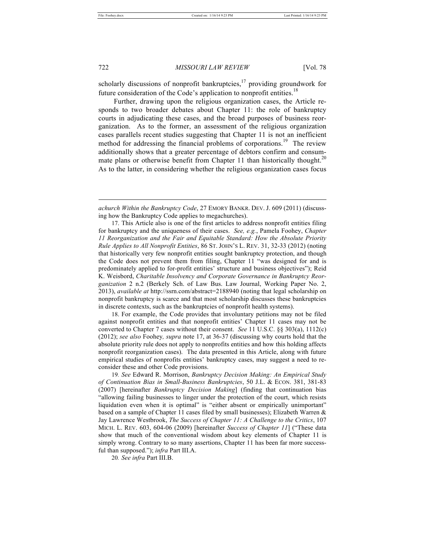722 *MISSOURI LAW REVIEW* [Vol. 78

scholarly discussions of nonprofit bankruptcies, $17$  providing groundwork for future consideration of the Code's application to nonprofit entities.<sup>18</sup>

Further, drawing upon the religious organization cases, the Article responds to two broader debates about Chapter 11: the role of bankruptcy courts in adjudicating these cases, and the broad purposes of business reorganization. As to the former, an assessment of the religious organization cases parallels recent studies suggesting that Chapter 11 is not an inefficient method for addressing the financial problems of corporations.<sup>19</sup> The review additionally shows that a greater percentage of debtors confirm and consummate plans or otherwise benefit from Chapter 11 than historically thought.<sup>20</sup> As to the latter, in considering whether the religious organization cases focus

18. For example, the Code provides that involuntary petitions may not be filed against nonprofit entities and that nonprofit entities' Chapter 11 cases may not be converted to Chapter 7 cases without their consent. *See* 11 U.S.C. §§ 303(a), 1112(c) (2012); *see also* Foohey*, supra* note 17, at 36-37 (discussing why courts hold that the absolute priority rule does not apply to nonprofits entities and how this holding affects nonprofit reorganization cases). The data presented in this Article, along with future empirical studies of nonprofits entities' bankruptcy cases, may suggest a need to reconsider these and other Code provisions.

*achurch Within the Bankruptcy Code*, 27 EMORY BANKR. DEV. J. 609 (2011) (discussing how the Bankruptcy Code applies to megachurches).

<sup>17.</sup> This Article also is one of the first articles to address nonprofit entities filing for bankruptcy and the uniqueness of their cases. *See, e.g.*, Pamela Foohey, *Chapter 11 Reorganization and the Fair and Equitable Standard: How the Absolute Priority Rule Applies to All Nonprofit Entities*, 86 ST. JOHN'S L. REV. 31, 32-33 (2012) (noting that historically very few nonprofit entities sought bankruptcy protection, and though the Code does not prevent them from filing, Chapter 11 "was designed for and is predominately applied to for-profit entities' structure and business objectives"); Reid K. Weisbord, *Charitable Insolvency and Corporate Governance in Bankruptcy Reorganization* 2 n.2 (Berkely Sch. of Law Bus. Law Journal, Working Paper No. 2, 2013), *available at* http://ssrn.com/abstract=2188940 (noting that legal scholarship on nonprofit bankruptcy is scarce and that most scholarship discusses these bankruptcies in discrete contexts, such as the bankruptcies of nonprofit health systems).

<sup>19</sup>*. See* Edward R. Morrison, *Bankruptcy Decision Making: An Empirical Study of Continuation Bias in Small-Business Bankruptcies*, 50 J.L. & ECON. 381, 381-83 (2007) [hereinafter *Bankruptcy Decision Making*] (finding that continuation bias "allowing failing businesses to linger under the protection of the court, which resists liquidation even when it is optimal" is "either absent or empirically unimportant" based on a sample of Chapter 11 cases filed by small businesses); Elizabeth Warren & Jay Lawrence Westbrook, *The Success of Chapter 11: A Challenge to the Critics*, 107 MICH. L. REV. 603, 604-06 (2009) [hereinafter *Success of Chapter 11*] ("These data show that much of the conventional wisdom about key elements of Chapter 11 is simply wrong. Contrary to so many assertions, Chapter 11 has been far more successful than supposed."); *infra* Part III.A.

<sup>20</sup>*. See infra* Part III.B.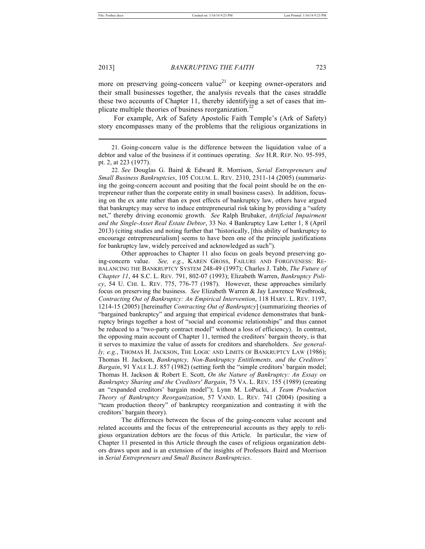#### 2013] *BANKRUPTING THE FAITH* 723

more on preserving going-concern value<sup>21</sup> or keeping owner-operators and their small businesses together, the analysis reveals that the cases straddle these two accounts of Chapter 11, thereby identifying a set of cases that implicate multiple theories of business reorganization.<sup>2</sup>

For example, Ark of Safety Apostolic Faith Temple's (Ark of Safety) story encompasses many of the problems that the religious organizations in

21. Going-concern value is the difference between the liquidation value of a debtor and value of the business if it continues operating. *See* H.R. REP. NO. 95-595, pt. 2, at 223 (1977).

22*. See* Douglas G. Baird & Edward R. Morrison, *Serial Entrepreneurs and Small Business Bankruptcies*, 105 COLUM. L. REV. 2310, 2311-14 (2005) (summarizing the going-concern account and positing that the focal point should be on the entrepreneur rather than the corporate entity in small business cases). In addition, focusing on the ex ante rather than ex post effects of bankruptcy law, others have argued that bankruptcy may serve to induce entrepreneurial risk taking by providing a "safety net," thereby driving economic growth. *See* Ralph Brubaker, *Artificial Impairment and the Single-Asset Real Estate Debtor*, 33 No. 4 Bankruptcy Law Letter 1, 8 (April 2013) (citing studies and noting further that "historically, [this ability of bankruptcy to encourage entrepreneurialism] seems to have been one of the principle justifications for bankruptcy law, widely perceived and acknowledged as such").

 Other approaches to Chapter 11 also focus on goals beyond preserving going-concern value. *See, e.g.*, KAREN GROSS, FAILURE AND FORGIVENESS: RE-BALANCING THE BANKRUPTCY SYSTEM 248-49 (1997); Charles J. Tabb, *The Future of Chapter 11*, 44 S.C. L. REV. 791, 802-07 (1993); Elizabeth Warren, *Bankruptcy Policy*, 54 U. CHI. L. REV. 775, 776-77 (1987). However, these approaches similarly focus on preserving the business. *See* Elizabeth Warren & Jay Lawrence Westbrook, *Contracting Out of Bankruptcy: An Empirical Intervention*, 118 HARV. L. REV. 1197, 1214-15 (2005) [hereinafter *Contracting Out of Bankruptcy*] (summarizing theories of "bargained bankruptcy" and arguing that empirical evidence demonstrates that bankruptcy brings together a host of "social and economic relationships" and thus cannot be reduced to a "two-party contract model" without a loss of efficiency). In contrast, the opposing main account of Chapter 11, termed the creditors' bargain theory, is that it serves to maximize the value of assets for creditors and shareholders. *See generally, e.g.*, THOMAS H. JACKSON, THE LOGIC AND LIMITS OF BANKRUPTCY LAW (1986); Thomas H. Jackson, *Bankruptcy, Non-Bankruptcy Entitlements, and the Creditors' Bargain*, 91 YALE L.J. 857 (1982) (setting forth the "simple creditors' bargain model; Thomas H. Jackson & Robert E. Scott, *On the Nature of Bankruptcy: An Essay on Bankruptcy Sharing and the Creditors' Bargain*, 75 VA. L. REV. 155 (1989) (creating an "expanded creditors' bargain model"); Lynn M. LoPucki, *A Team Production Theory of Bankruptcy Reorganization*, 57 VAND. L. REV. 741 (2004) (positing a "team production theory" of bankruptcy reorganization and contrasting it with the creditors' bargain theory).

 The differences between the focus of the going-concern value account and related accounts and the focus of the entrepreneurial accounts as they apply to religious organization debtors are the focus of this Article. In particular, the view of Chapter 11 presented in this Article through the cases of religious organization debtors draws upon and is an extension of the insights of Professors Baird and Morrison in *Serial Entrepreneurs and Small Business Bankruptcies*.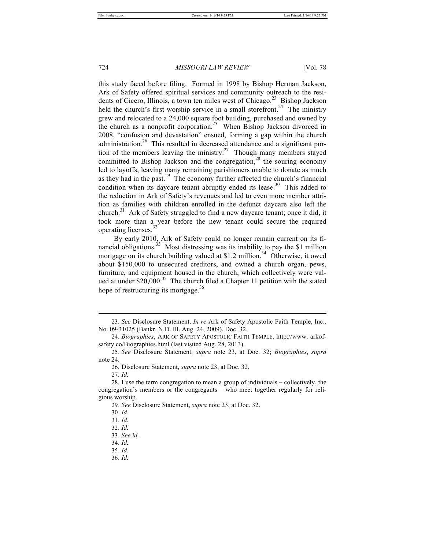this study faced before filing. Formed in 1998 by Bishop Herman Jackson, Ark of Safety offered spiritual services and community outreach to the residents of Cicero, Illinois, a town ten miles west of Chicago.<sup>23</sup> Bishop Jackson held the church's first worship service in a small storefront.<sup>24</sup> The ministry grew and relocated to a 24,000 square foot building, purchased and owned by the church as a nonprofit corporation.<sup>25</sup> When Bishop Jackson divorced in 2008, "confusion and devastation" ensued, forming a gap within the church administration.<sup>26</sup> This resulted in decreased attendance and a significant portion of the members leaving the ministry.<sup>27</sup> Though many members stayed committed to Bishop Jackson and the congregation, $^{28}$  the souring economy led to layoffs, leaving many remaining parishioners unable to donate as much as they had in the past.<sup>29</sup> The economy further affected the church's financial condition when its daycare tenant abruptly ended its lease.<sup>30</sup> This added to the reduction in Ark of Safety's revenues and led to even more member attrition as families with children enrolled in the defunct daycare also left the church.<sup>31</sup> Ark of Safety struggled to find a new daycare tenant; once it did, it took more than a year before the new tenant could secure the required operating licenses.<sup>32</sup>

By early 2010, Ark of Safety could no longer remain current on its financial obligations.<sup>33</sup> Most distressing was its inability to pay the \$1 million mortgage on its church building valued at \$1.2 million.<sup>34</sup> Otherwise, it owed about \$150,000 to unsecured creditors, and owned a church organ, pews, furniture, and equipment housed in the church, which collectively were valued at under  $$20,000$ .<sup>35</sup> The church filed a Chapter 11 petition with the stated hope of restructuring its mortgage.<sup>36</sup>

l

36*. Id.*

<sup>23</sup>*. See* Disclosure Statement, *In re* Ark of Safety Apostolic Faith Temple, Inc., No. 09-31025 (Bankr. N.D. Ill. Aug. 24, 2009), Doc. 32.

<sup>24</sup>*. Biographies*, ARK OF SAFETY APOSTOLIC FAITH TEMPLE, http://www. arkofsafety.co/Biographies.html (last visited Aug. 28, 2013).

<sup>25</sup>*. See* Disclosure Statement, *supra* note 23, at Doc. 32; *Biographies*, *supra* note 24.

<sup>26.</sup> Disclosure Statement, *supra* note 23, at Doc. 32.

<sup>27</sup>*. Id.* 

<sup>28.</sup> I use the term congregation to mean a group of individuals – collectively, the congregation's members or the congregants – who meet together regularly for religious worship.

<sup>29</sup>*. See* Disclosure Statement, *supra* note 23, at Doc. 32.

<sup>30</sup>*. Id.* 

<sup>31</sup>*. Id.* 

<sup>32</sup>*. Id.* 

<sup>33</sup>*. See id.*

<sup>34</sup>*. Id.*

<sup>35</sup>*. Id.*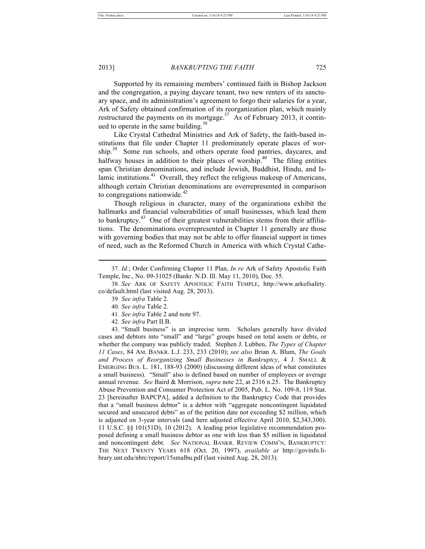2013] *BANKRUPTING THE FAITH* 725

Supported by its remaining members' continued faith in Bishop Jackson and the congregation, a paying daycare tenant, two new renters of its sanctuary space, and its administration's agreement to forgo their salaries for a year, Ark of Safety obtained confirmation of its reorganization plan, which mainly restructured the payments on its mortgage.<sup>37</sup> As of February 2013, it continued to operate in the same building. $38$ 

Like Crystal Cathedral Ministries and Ark of Safety, the faith-based institutions that file under Chapter 11 predominately operate places of worship.<sup>39</sup> Some run schools, and others operate food pantries, daycares, and halfway houses in addition to their places of worship.<sup>40</sup> The filing entities span Christian denominations, and include Jewish, Buddhist, Hindu, and Islamic institutions.<sup>41</sup> Overall, they reflect the religious makeup of Americans, although certain Christian denominations are overrepresented in comparison to congregations nationwide. $42$ 

Though religious in character, many of the organizations exhibit the hallmarks and financial vulnerabilities of small businesses, which lead them to bankruptcy.<sup>43</sup> One of their greatest vulnerabilities stems from their affiliations. The denominations overrepresented in Chapter 11 generally are those with governing bodies that may not be able to offer financial support in times of need, such as the Reformed Church in America with which Crystal Cathe-

43. "Small business" is an imprecise term. Scholars generally have divided cases and debtors into "small" and "large" groups based on total assets or debts, or whether the company was publicly traded. Stephen J. Lubben, *The Types of Chapter 11 Cases*, 84 AM. BANKR. L.J. 233, 233 (2010); *see also* Brian A. Blum, *The Goals and Process of Reorganizing Small Businesses in Bankruptcy*, 4 J. SMALL & EMERGING BUS. L. 181, 188-93 (2000) (discussing different ideas of what constitutes a small business). "Small" also is defined based on number of employees or average annual revenue. *See* Baird & Morrison, *supra* note 22, at 2316 n.25. The Bankruptcy Abuse Prevention and Consumer Protection Act of 2005, Pub. L. No. 109-8, 119 Stat. 23 [hereinafter BAPCPA], added a definition to the Bankruptcy Code that provides that a "small business debtor" is a debtor with "aggregate noncontingent liquidated secured and unsecured debts" as of the petition date not exceeding \$2 million, which is adjusted on 3-year intervals (and here adjusted effective April 2010, \$2,343,300). 11 U.S.C. §§ 101(51D), 10 (2012). A leading prior legislative recommendation proposed defining a small business debtor as one with less than \$5 million in liquidated and noncontingent debt. *See* NATIONAL BANKR. REVIEW COMM'N, BANKRUPTCY: THE NEXT TWENTY YEARS 618 (Oct. 20, 1997), *available at* http://govinfo.library.unt.edu/nbrc/report/15smalbu.pdf (last visited Aug. 28, 2013).

<sup>37</sup>*. Id.*; Order Confirming Chapter 11 Plan, *In re* Ark of Safety Apostolic Faith Temple, Inc., No. 09-31025 (Bankr. N.D. Ill. May 11, 2010), Doc. 55.

<sup>38</sup>*. See* ARK OF SAFETY APOSTOLIC FAITH TEMPLE, http://www.arkofsafety. co/default.html (last visited Aug. 28, 2013).

<sup>39</sup>*. See infra* Table 2.

<sup>40</sup>*. See infra* Table 2.

<sup>41</sup>*. See infra* Table 2 and note 97.

<sup>42</sup>*. See infra* Part II.B.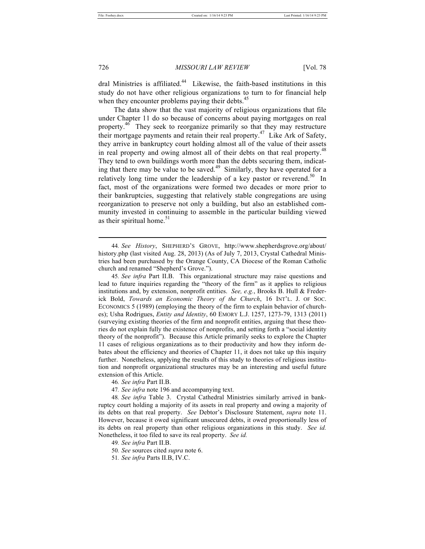726 *MISSOURI LAW REVIEW* [Vol. 78

dral Ministries is affiliated.<sup>44</sup> Likewise, the faith-based institutions in this study do not have other religious organizations to turn to for financial help when they encounter problems paying their debts.<sup>4</sup>

The data show that the vast majority of religious organizations that file under Chapter 11 do so because of concerns about paying mortgages on real property.<sup>46</sup> They seek to reorganize primarily so that they may restructure their mortgage payments and retain their real property.<sup>47</sup> Like Ark of Safety, they arrive in bankruptcy court holding almost all of the value of their assets in real property and owing almost all of their debts on that real property.<sup>48</sup> They tend to own buildings worth more than the debts securing them, indicating that there may be value to be saved.<sup>49</sup> Similarly, they have operated for a relatively long time under the leadership of a key pastor or reverend.<sup>50</sup> In fact, most of the organizations were formed two decades or more prior to their bankruptcies, suggesting that relatively stable congregations are using reorganization to preserve not only a building, but also an established community invested in continuing to assemble in the particular building viewed as their spiritual home. $51$ 

47*. See infra* note 196 and accompanying text.

48*. See infra* Table 3. Crystal Cathedral Ministries similarly arrived in bankruptcy court holding a majority of its assets in real property and owing a majority of its debts on that real property. *See* Debtor's Disclosure Statement, *supra* note 11. However, because it owed significant unsecured debts, it owed proportionally less of its debts on real property than other religious organizations in this study. *See id.* Nonetheless, it too filed to save its real property. *See id.*

49*. See infra* Part II.B.

50*. See* sources cited *supra* note 6.

<sup>44</sup>*. See History*, SHEPHERD'S GROVE, http://www.shepherdsgrove.org/about/ history.php (last visited Aug. 28, 2013) (As of July 7, 2013, Crystal Cathedral Ministries had been purchased by the Orange County, CA Diocese of the Roman Catholic church and renamed "Shepherd's Grove.").

<sup>45</sup>*. See infra* Part II.B. This organizational structure may raise questions and lead to future inquiries regarding the "theory of the firm" as it applies to religious institutions and, by extension, nonprofit entities. *See, e.g.*, Brooks B. Hull & Frederick Bold, *Towards an Economic Theory of the Church*, 16 INT'L. J. OF SOC. ECONOMICS 5 (1989) (employing the theory of the firm to explain behavior of churches); Usha Rodrigues, *Entity and Identity*, 60 EMORY L.J. 1257, 1273-79, 1313 (2011) (surveying existing theories of the firm and nonprofit entities, arguing that these theories do not explain fully the existence of nonprofits, and setting forth a "social identity theory of the nonprofit"). Because this Article primarily seeks to explore the Chapter 11 cases of religious organizations as to their productivity and how they inform debates about the efficiency and theories of Chapter 11, it does not take up this inquiry further. Nonetheless, applying the results of this study to theories of religious institution and nonprofit organizational structures may be an interesting and useful future extension of this Article.

<sup>46</sup>*. See infra* Part II.B.

<sup>51</sup>*. See infra* Parts II.B, IV.C.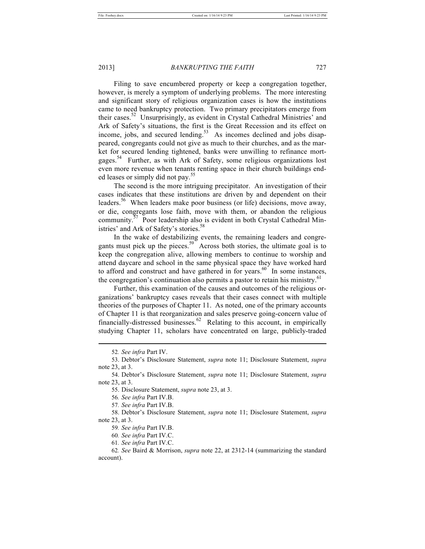Filing to save encumbered property or keep a congregation together, however, is merely a symptom of underlying problems. The more interesting and significant story of religious organization cases is how the institutions came to need bankruptcy protection. Two primary precipitators emerge from their cases.<sup>52</sup> Unsurprisingly, as evident in Crystal Cathedral Ministries' and Ark of Safety's situations, the first is the Great Recession and its effect on income, jobs, and secured lending.<sup>53</sup> As incomes declined and jobs disappeared, congregants could not give as much to their churches, and as the market for secured lending tightened, banks were unwilling to refinance mortgages.<sup>54</sup> Further, as with Ark of Safety, some religious organizations lost even more revenue when tenants renting space in their church buildings ended leases or simply did not pay.<sup>55</sup>

The second is the more intriguing precipitator. An investigation of their cases indicates that these institutions are driven by and dependent on their leaders.<sup>56</sup> When leaders make poor business (or life) decisions, move away, or die, congregants lose faith, move with them, or abandon the religious community.<sup>37</sup> Poor leadership also is evident in both Crystal Cathedral Ministries' and Ark of Safety's stories.<sup>58</sup>

In the wake of destabilizing events, the remaining leaders and congregants must pick up the pieces.<sup>59</sup> Across both stories, the ultimate goal is to keep the congregation alive, allowing members to continue to worship and attend daycare and school in the same physical space they have worked hard to afford and construct and have gathered in for years. $60$  In some instances, the congregation's continuation also permits a pastor to retain his ministry.<sup>61</sup>

Further, this examination of the causes and outcomes of the religious organizations' bankruptcy cases reveals that their cases connect with multiple theories of the purposes of Chapter 11. As noted, one of the primary accounts of Chapter 11 is that reorganization and sales preserve going-concern value of financially-distressed businesses. $62$  Relating to this account, in empirically studying Chapter 11, scholars have concentrated on large, publicly-traded

<sup>52</sup>*. See infra* Part IV.

<sup>53.</sup> Debtor's Disclosure Statement, *supra* note 11; Disclosure Statement, *supra* note 23, at 3.

<sup>54.</sup> Debtor's Disclosure Statement, *supra* note 11; Disclosure Statement, *supra* note 23, at 3.

<sup>55.</sup> Disclosure Statement, *supra* note 23, at 3.

<sup>56</sup>*. See infra* Part IV.B.

<sup>57</sup>*. See infra* Part IV.B.

<sup>58.</sup> Debtor's Disclosure Statement, *supra* note 11; Disclosure Statement, *supra* note 23, at 3.

<sup>59</sup>*. See infra* Part IV.B.

<sup>60</sup>*. See infra* Part IV.C.

<sup>61</sup>*. See infra* Part IV.C.

<sup>62</sup>*. See* Baird & Morrison, *supra* note 22, at 2312-14 (summarizing the standard account).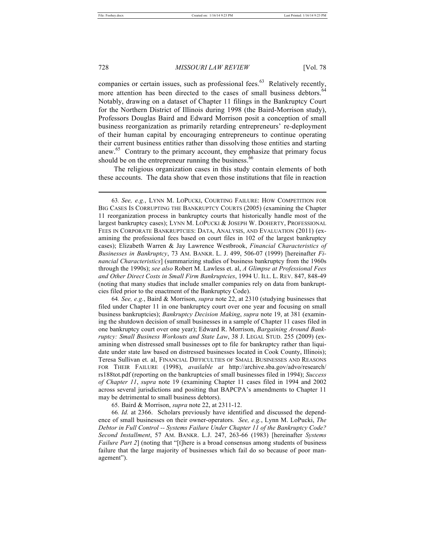companies or certain issues, such as professional fees.<sup>63</sup> Relatively recently, more attention has been directed to the cases of small business debtors.<sup>64</sup> Notably, drawing on a dataset of Chapter 11 filings in the Bankruptcy Court for the Northern District of Illinois during 1998 (the Baird-Morrison study), Professors Douglas Baird and Edward Morrison posit a conception of small business reorganization as primarily retarding entrepreneurs' re-deployment of their human capital by encouraging entrepreneurs to continue operating their current business entities rather than dissolving those entities and starting anew.<sup>65</sup> Contrary to the primary account, they emphasize that primary focus should be on the entrepreneur running the business.<sup>66</sup>

The religious organization cases in this study contain elements of both these accounts. The data show that even those institutions that file in reaction

64*. See, e.g.*, Baird & Morrison, *supra* note 22, at 2310 (studying businesses that filed under Chapter 11 in one bankruptcy court over one year and focusing on small business bankruptcies); *Bankruptcy Decision Making*, *supra* note 19, at 381 (examining the shutdown decision of small businesses in a sample of Chapter 11 cases filed in one bankruptcy court over one year); Edward R. Morrison, *Bargaining Around Bankruptcy: Small Business Workouts and State Law*, 38 J. LEGAL STUD. 255 (2009) (examining when distressed small businesses opt to file for bankruptcy rather than liquidate under state law based on distressed businesses located in Cook County, Illinois); Teresa Sullivan et. al, FINANCIAL DIFFICULTIES OF SMALL BUSINESSES AND REASONS FOR THEIR FAILURE (1998), *available at* http://archive.sba.gov/advo/research/ rs188tot.pdf (reporting on the bankruptcies of small businesses filed in 1994); *Success of Chapter 11*, *supra* note 19 (examining Chapter 11 cases filed in 1994 and 2002 across several jurisdictions and positing that BAPCPA's amendments to Chapter 11 may be detrimental to small business debtors).

65. Baird & Morrison, *supra* note 22, at 2311-12.

66*. Id.* at 2366. Scholars previously have identified and discussed the dependence of small businesses on their owner-operators. *See, e.g.*, Lynn M. LoPucki, *The Debtor in Full Control -- Systems Failure Under Chapter 11 of the Bankruptcy Code? Second Installment*, 57 AM. BANKR. L.J. 247, 263-66 (1983) [hereinafter *Systems Failure Part 2*] (noting that "[t]here is a broad consensus among students of business failure that the large majority of businesses which fail do so because of poor management").

<sup>63</sup>*. See, e.g.*, LYNN M. LOPUCKI, COURTING FAILURE: HOW COMPETITION FOR BIG CASES IS CORRUPTING THE BANKRUPTCY COURTS (2005) (examining the Chapter 11 reorganization process in bankruptcy courts that historically handle most of the largest bankruptcy cases); LYNN M. LOPUCKI & JOSEPH W. DOHERTY, PROFESSIONAL FEES IN CORPORATE BANKRUPTCIES: DATA, ANALYSIS, AND EVALUATION (2011) (examining the professional fees based on court files in 102 of the largest bankruptcy cases); Elizabeth Warren & Jay Lawrence Westbrook, *Financial Characteristics of Businesses in Bankruptcy*, 73 AM. BANKR. L. J. 499, 506-07 (1999) [hereinafter *Financial Characteristics*] (summarizing studies of business bankruptcy from the 1960s through the 1990s); *see also* Robert M. Lawless et. al, *A Glimpse at Professional Fees and Other Direct Costs in Small Firm Bankruptcies*, 1994 U. ILL. L. REV. 847, 848-49 (noting that many studies that include smaller companies rely on data from bankruptcies filed prior to the enactment of the Bankruptcy Code).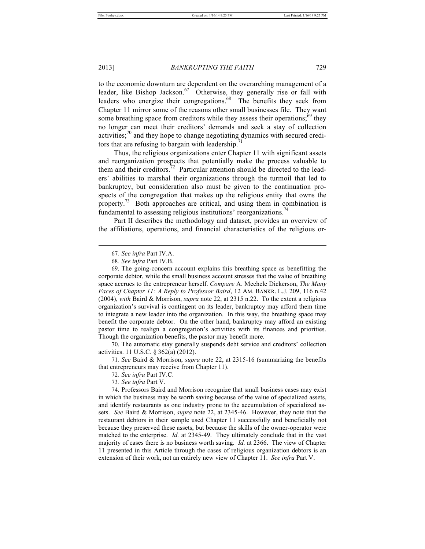2013] *BANKRUPTING THE FAITH* 729

to the economic downturn are dependent on the overarching management of a leader, like Bishop Jackson.<sup>67</sup> Otherwise, they generally rise or fall with leaders who energize their congregations.<sup>68</sup> The benefits they seek from Chapter 11 mirror some of the reasons other small businesses file. They want some breathing space from creditors while they assess their operations; $69$  they no longer can meet their creditors' demands and seek a stay of collection activities;<sup>70</sup> and they hope to change negotiating dynamics with secured creditors that are refusing to bargain with leadership.<sup>7</sup>

Thus, the religious organizations enter Chapter 11 with significant assets and reorganization prospects that potentially make the process valuable to them and their creditors.<sup>72</sup> Particular attention should be directed to the leaders' abilities to marshal their organizations through the turmoil that led to bankruptcy, but consideration also must be given to the continuation prospects of the congregation that makes up the religious entity that owns the property.<sup>73</sup> Both approaches are critical, and using them in combination is fundamental to assessing religious institutions' reorganizations.<sup>74</sup>

Part II describes the methodology and dataset, provides an overview of the affiliations, operations, and financial characteristics of the religious or-

70. The automatic stay generally suspends debt service and creditors' collection activities. 11 U.S.C. § 362(a) (2012).

71*. See* Baird & Morrison, *supra* note 22, at 2315-16 (summarizing the benefits that entrepreneurs may receive from Chapter 11).

73*. See infra* Part V.

<sup>67</sup>*. See infra* Part IV.A.

<sup>68</sup>*. See infra* Part IV.B.

<sup>69.</sup> The going-concern account explains this breathing space as benefitting the corporate debtor, while the small business account stresses that the value of breathing space accrues to the entrepreneur herself. *Compare* A. Mechele Dickerson, *The Many Faces of Chapter 11: A Reply to Professor Baird*, 12 AM. BANKR. L.J. 209, 116 n.42 (2004), *with* Baird & Morrison, *supra* note 22, at 2315 n.22. To the extent a religious organization's survival is contingent on its leader, bankruptcy may afford them time to integrate a new leader into the organization. In this way, the breathing space may benefit the corporate debtor. On the other hand, bankruptcy may afford an existing pastor time to realign a congregation's activities with its finances and priorities. Though the organization benefits, the pastor may benefit more.

<sup>72</sup>*. See infra* Part IV.C.

<sup>74.</sup> Professors Baird and Morrison recognize that small business cases may exist in which the business may be worth saving because of the value of specialized assets, and identify restaurants as one industry prone to the accumulation of specialized assets. *See* Baird & Morrison, *supra* note 22, at 2345-46. However, they note that the restaurant debtors in their sample used Chapter 11 successfully and beneficially not because they preserved these assets, but because the skills of the owner-operator were matched to the enterprise. *Id.* at 2345-49. They ultimately conclude that in the vast majority of cases there is no business worth saving. *Id.* at 2366. The view of Chapter 11 presented in this Article through the cases of religious organization debtors is an extension of their work, not an entirely new view of Chapter 11. *See infra* Part V.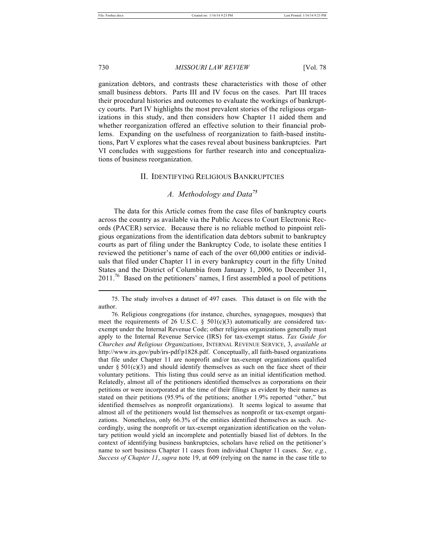730 *MISSOURI LAW REVIEW* [Vol. 78

ganization debtors, and contrasts these characteristics with those of other small business debtors. Parts III and IV focus on the cases. Part III traces their procedural histories and outcomes to evaluate the workings of bankruptcy courts. Part IV highlights the most prevalent stories of the religious organizations in this study, and then considers how Chapter 11 aided them and whether reorganization offered an effective solution to their financial problems. Expanding on the usefulness of reorganization to faith-based institutions, Part V explores what the cases reveal about business bankruptcies. Part VI concludes with suggestions for further research into and conceptualizations of business reorganization.

# II. IDENTIFYING RELIGIOUS BANKRUPTCIES

# *A. Methodology and Data<sup>75</sup>*

The data for this Article comes from the case files of bankruptcy courts across the country as available via the Public Access to Court Electronic Records (PACER) service. Because there is no reliable method to pinpoint religious organizations from the identification data debtors submit to bankruptcy courts as part of filing under the Bankruptcy Code, to isolate these entities I reviewed the petitioner's name of each of the over 60,000 entities or individuals that filed under Chapter 11 in every bankruptcy court in the fifty United States and the District of Columbia from January 1, 2006, to December 31,  $2011$ .<sup>76</sup> Based on the petitioners' names, I first assembled a pool of petitions

<sup>75.</sup> The study involves a dataset of 497 cases. This dataset is on file with the author.

<sup>76.</sup> Religious congregations (for instance, churches, synagogues, mosques) that meet the requirements of 26 U.S.C.  $\S$  501(c)(3) automatically are considered taxexempt under the Internal Revenue Code; other religious organizations generally must apply to the Internal Revenue Service (IRS) for tax-exempt status. *Tax Guide for Churches and Religious Organizations*, INTERNAL REVENUE SERVICE, 3, *available at* http://www.irs.gov/pub/irs-pdf/p1828.pdf. Conceptually, all faith-based organizations that file under Chapter 11 are nonprofit and/or tax-exempt organizations qualified under  $\S 501(c)(3)$  and should identify themselves as such on the face sheet of their voluntary petitions. This listing thus could serve as an initial identification method. Relatedly, almost all of the petitioners identified themselves as corporations on their petitions or were incorporated at the time of their filings as evident by their names as stated on their petitions (95.9% of the petitions; another 1.9% reported "other," but identified themselves as nonprofit organizations). It seems logical to assume that almost all of the petitioners would list themselves as nonprofit or tax-exempt organizations. Nonetheless, only 66.3% of the entities identified themselves as such. Accordingly, using the nonprofit or tax-exempt organization identification on the voluntary petition would yield an incomplete and potentially biased list of debtors. In the context of identifying business bankruptcies, scholars have relied on the petitioner's name to sort business Chapter 11 cases from individual Chapter 11 cases. *See, e.g.*, *Success of Chapter 11*, *supra* note 19, at 609 (relying on the name in the case title to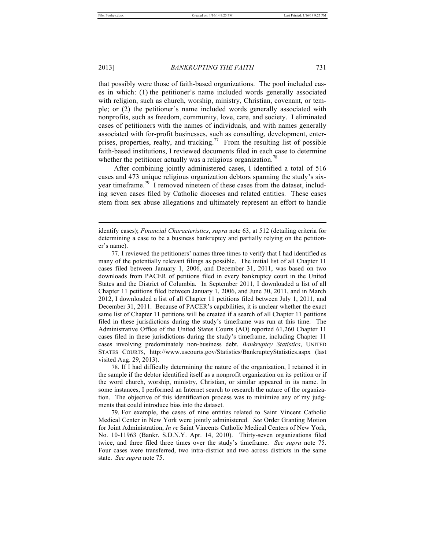2013] *BANKRUPTING THE FAITH* 731

that possibly were those of faith-based organizations. The pool included cases in which: (1) the petitioner's name included words generally associated with religion, such as church, worship, ministry, Christian, covenant, or temple; or (2) the petitioner's name included words generally associated with nonprofits, such as freedom, community, love, care, and society. I eliminated cases of petitioners with the names of individuals, and with names generally associated with for-profit businesses, such as consulting, development, enterprises, properties, realty, and trucking.<sup>77</sup> From the resulting list of possible faith-based institutions, I reviewed documents filed in each case to determine whether the petitioner actually was a religious organization.<sup>78</sup>

After combining jointly administered cases, I identified a total of 516 cases and 473 unique religious organization debtors spanning the study's sixyear timeframe.<sup>79</sup> I removed nineteen of these cases from the dataset, including seven cases filed by Catholic dioceses and related entities. These cases stem from sex abuse allegations and ultimately represent an effort to handle

78. If I had difficulty determining the nature of the organization, I retained it in the sample if the debtor identified itself as a nonprofit organization on its petition or if the word church, worship, ministry, Christian, or similar appeared in its name. In some instances, I performed an Internet search to research the nature of the organization. The objective of this identification process was to minimize any of my judgments that could introduce bias into the dataset.

79. For example, the cases of nine entities related to Saint Vincent Catholic Medical Center in New York were jointly administered. *See* Order Granting Motion for Joint Administration, *In re* Saint Vincents Catholic Medical Centers of New York, No. 10-11963 (Bankr. S.D.N.Y. Apr. 14, 2010). Thirty-seven organizations filed twice, and three filed three times over the study's timeframe. *See supra* note 75. Four cases were transferred, two intra-district and two across districts in the same state. *See supra* note 75.

identify cases); *Financial Characteristics*, *supra* note 63, at 512 (detailing criteria for determining a case to be a business bankruptcy and partially relying on the petitioner's name).

<sup>77.</sup> I reviewed the petitioners' names three times to verify that I had identified as many of the potentially relevant filings as possible. The initial list of all Chapter 11 cases filed between January 1, 2006, and December 31, 2011, was based on two downloads from PACER of petitions filed in every bankruptcy court in the United States and the District of Columbia. In September 2011, I downloaded a list of all Chapter 11 petitions filed between January 1, 2006, and June 30, 2011, and in March 2012, I downloaded a list of all Chapter 11 petitions filed between July 1, 2011, and December 31, 2011. Because of PACER's capabilities, it is unclear whether the exact same list of Chapter 11 petitions will be created if a search of all Chapter 11 petitions filed in these jurisdictions during the study's timeframe was run at this time. The Administrative Office of the United States Courts (AO) reported 61,260 Chapter 11 cases filed in these jurisdictions during the study's timeframe, including Chapter 11 cases involving predominately non-business debt. *Bankruptcy Statistics*, UNITED STATES COURTS, http://www.uscourts.gov/Statistics/BankruptcyStatistics.aspx (last visited Aug. 29, 2013).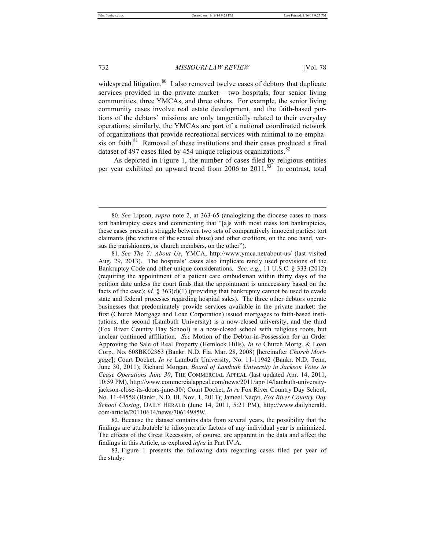#### 732 *MISSOURI LAW REVIEW* [Vol. 78

widespread litigation.<sup>80</sup> I also removed twelve cases of debtors that duplicate services provided in the private market – two hospitals, four senior living communities, three YMCAs, and three others. For example, the senior living community cases involve real estate development, and the faith-based portions of the debtors' missions are only tangentially related to their everyday operations; similarly, the YMCAs are part of a national coordinated network of organizations that provide recreational services with minimal to no emphasis on faith.<sup>81</sup> Removal of these institutions and their cases produced a final dataset of 497 cases filed by 454 unique religious organizations.<sup>82</sup>

As depicted in Figure 1, the number of cases filed by religious entities per year exhibited an upward trend from 2006 to 2011.<sup>83</sup> In contrast, total

82. Because the dataset contains data from several years, the possibility that the findings are attributable to idiosyncratic factors of any individual year is minimized. The effects of the Great Recession, of course, are apparent in the data and affect the findings in this Article, as explored *infra* in Part IV.A.

83. Figure 1 presents the following data regarding cases filed per year of the study:

<sup>80</sup>*. See* Lipson, *supra* note 2, at 363-65 (analogizing the diocese cases to mass tort bankruptcy cases and commenting that "[a]s with most mass tort bankruptcies, these cases present a struggle between two sets of comparatively innocent parties: tort claimants (the victims of the sexual abuse) and other creditors, on the one hand, versus the parishioners, or church members, on the other").

<sup>81</sup>*. See The Y: About Us*, YMCA, http://www.ymca.net/about-us/ (last visited Aug. 29, 2013). The hospitals' cases also implicate rarely used provisions of the Bankruptcy Code and other unique considerations. *See, e.g.*, 11 U.S.C. § 333 (2012) (requiring the appointment of a patient care ombudsman within thirty days of the petition date unless the court finds that the appointment is unnecessary based on the facts of the case); *id.*  $\S 363(d)(1)$  (providing that bankruptcy cannot be used to evade state and federal processes regarding hospital sales). The three other debtors operate businesses that predominately provide services available in the private market: the first (Church Mortgage and Loan Corporation) issued mortgages to faith-based institutions, the second (Lambuth University) is a now-closed university, and the third (Fox River Country Day School) is a now-closed school with religious roots, but unclear continued affiliation. *See* Motion of the Debtor-in-Possession for an Order Approving the Sale of Real Property (Hemlock Hills), *In re* Church Mortg. & Loan Corp., No. 608BK02363 (Bankr. N.D. Fla. Mar. 28, 2008) [hereinafter *Church Mortgage*]; Court Docket, *In re* Lambuth University, No. 11-11942 (Bankr. N.D. Tenn. June 30, 2011); Richard Morgan, *Board of Lambuth University in Jackson Votes to Cease Operations June 30*, THE COMMERCIAL APPEAL (last updated Apr. 14, 2011, 10:59 PM), http://www.commercialappeal.com/news/2011/apr/14/lambuth-universityjackson-close-its-doors-june-30/; Court Docket, *In re* Fox River Country Day School, No. 11-44558 (Bankr. N.D. Ill. Nov. 1, 2011); Jameel Naqvi, *Fox River Country Day School Closing*, DAILY HERALD (June 14, 2011, 5:21 PM), http://www.dailyherald. com/article/20110614/news/706149859/.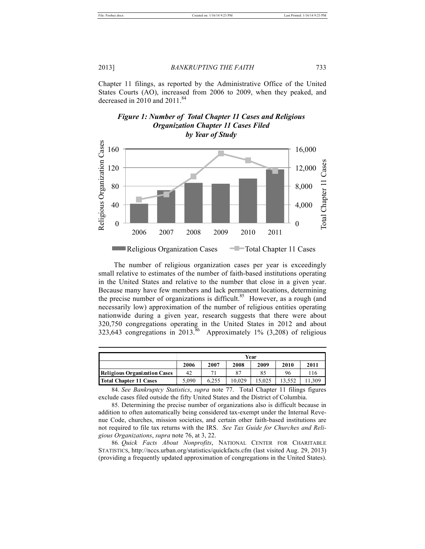2013] *BANKRUPTING THE FAITH* 733

Chapter 11 filings, as reported by the Administrative Office of the United States Courts (AO), increased from 2006 to 2009, when they peaked, and decreased in 2010 and  $2011.^{84}$ 





The number of religious organization cases per year is exceedingly small relative to estimates of the number of faith-based institutions operating in the United States and relative to the number that close in a given year. Because many have few members and lack permanent locations, determining the precise number of organizations is difficult.<sup>85</sup> However, as a rough (and necessarily low) approximation of the number of religious entities operating nationwide during a given year, research suggests that there were about 320,750 congregations operating in the United States in 2012 and about 323,643 congregations in 2013.<sup>86</sup> Approximately 1% (3,208) of religious

|                              | Year  |       |        |       |      |      |
|------------------------------|-------|-------|--------|-------|------|------|
|                              | 2006  | 2007  | 2008   | 2009  | 2010 | 2011 |
| Religious Organization Cases | 42    |       | 87     | 85    | 96   | 116  |
| Total Chapter 11 Cases       | 5.090 | 6.255 | 10.029 | 5.025 |      |      |

84. *See Bankruptcy Statistics*, *supra* note 77. Total Chapter 11 filings figures exclude cases filed outside the fifty United States and the District of Columbia.

85. Determining the precise number of organizations also is difficult because in addition to often automatically being considered tax-exempt under the Internal Revenue Code, churches, mission societies, and certain other faith-based institutions are not required to file tax returns with the IRS. *See Tax Guide for Churches and Religious Organizations*, *supra* note 76, at 3, 22.

86*. Quick Facts About Nonprofits*, NATIONAL CENTER FOR CHARITABLE STATISTICS, http://nccs.urban.org/statistics/quickfacts.cfm (last visited Aug. 29, 2013) (providing a frequently updated approximation of congregations in the United States).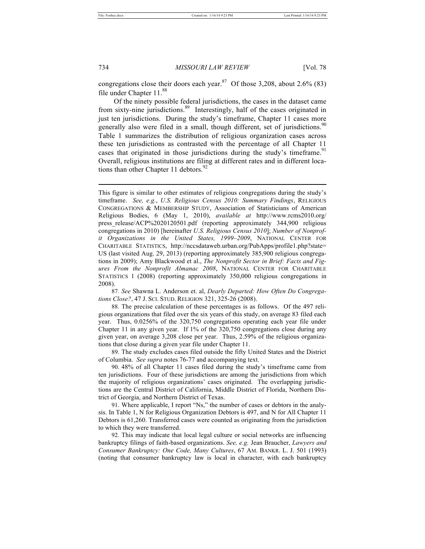congregations close their doors each year.<sup>87</sup> Of those 3,208, about 2.6% (83) file under Chapter 11.<sup>88</sup>

Of the ninety possible federal jurisdictions, the cases in the dataset came from sixty-nine jurisdictions.<sup>89</sup> Interestingly, half of the cases originated in just ten jurisdictions. During the study's timeframe, Chapter 11 cases more generally also were filed in a small, though different, set of jurisdictions.<sup>90</sup> Table 1 summarizes the distribution of religious organization cases across these ten jurisdictions as contrasted with the percentage of all Chapter 11 cases that originated in those jurisdictions during the study's timeframe.<sup>91</sup> Overall, religious institutions are filing at different rates and in different locations than other Chapter 11 debtors.<sup>92</sup>

87*. See* Shawna L. Anderson et. al, *Dearly Departed: How Often Do Congregations Close?*, 47 J. SCI. STUD. RELIGION 321, 325-26 (2008).

88. The precise calculation of these percentages is as follows. Of the 497 religious organizations that filed over the six years of this study, on average 83 filed each year. Thus, 0.0256% of the 320,750 congregations operating each year file under Chapter 11 in any given year. If 1% of the 320,750 congregations close during any given year, on average 3,208 close per year. Thus, 2.59% of the religious organizations that close during a given year file under Chapter 11.

89. The study excludes cases filed outside the fifty United States and the District of Columbia. *See supra* notes 76-77 and accompanying text.

90. 48% of all Chapter 11 cases filed during the study's timeframe came from ten jurisdictions. Four of these jurisdictions are among the jurisdictions from which the majority of religious organizations' cases originated. The overlapping jurisdictions are the Central District of California, Middle District of Florida, Northern District of Georgia, and Northern District of Texas.

91. Where applicable, I report "Ns," the number of cases or debtors in the analysis. In Table 1, N for Religious Organization Debtors is 497, and N for All Chapter 11 Debtors is 61,260. Transferred cases were counted as originating from the jurisdiction to which they were transferred.

92. This may indicate that local legal culture or social networks are influencing bankruptcy filings of faith-based organizations. *See, e.g.* Jean Braucher, *Lawyers and Consumer Bankruptcy: One Code, Many Cultures*, 67 AM. BANKR. L. J. 501 (1993) (noting that consumer bankruptcy law is local in character, with each bankruptcy

This figure is similar to other estimates of religious congregations during the study's timeframe. *See, e.g.*, *U.S. Religious Census 2010: Summary Findings*, RELIGIOUS CONGREGATIONS & MEMBERSHIP STUDY, Association of Statisticians of American Religious Bodies, 6 (May 1, 2010), *available at* http://www.rcms2010.org/ press\_release/ACP%2020120501.pdf (reporting approximately 344,900 religious congregations in 2010) [hereinafter *U.S. Religious Census 2010*]; *Number of Nonprofit Organizations in the United States, 1999–2009*, NATIONAL CENTER FOR CHARITABLE STATISTICS, http://nccsdataweb.urban.org/PubApps/profile1.php?state= US (last visited Aug. 29, 2013) (reporting approximately 385,900 religious congregations in 2009); Amy Blackwood et al., *The Nonprofit Sector in Brief: Facts and Figures From the Nonprofit Almanac 2008*, NATIONAL CENTER FOR CHARITABLE STATISTICS 1 (2008) (reporting approximately 350,000 religious congregations in 2008).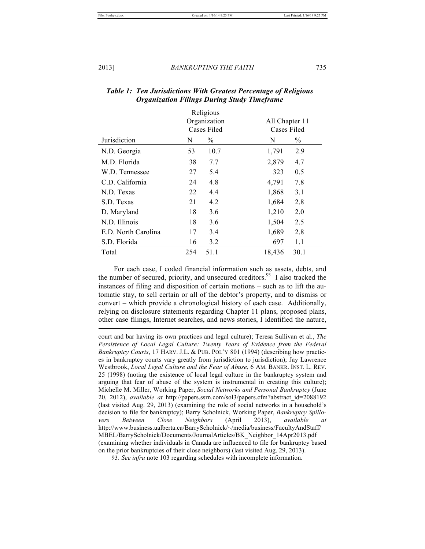|                     | Religious<br>Organization<br>Cases Filed |               | All Chapter 11<br><b>Cases Filed</b> |
|---------------------|------------------------------------------|---------------|--------------------------------------|
| Jurisdiction        | N                                        | $\frac{0}{0}$ | $\frac{0}{0}$<br>N                   |
| N.D. Georgia        | 53                                       | 10.7          | 1,791<br>2.9                         |
| M.D. Florida        | 38                                       | 7.7           | 2,879<br>4.7                         |
| W.D. Tennessee      | 27                                       | 5.4           | 0.5<br>323                           |
| C.D. California     | 24                                       | 4.8           | 4,791<br>7.8                         |
| N.D. Texas          | 22                                       | 4.4           | 1,868<br>3.1                         |
| S.D. Texas          | 21                                       | 4.2           | 1,684<br>2.8                         |
| D. Maryland         | 18                                       | 3.6           | 1,210<br>2.0                         |
| N.D. Illinois       | 18                                       | 3.6           | 1,504<br>2.5                         |
| E.D. North Carolina | 17                                       | 3.4           | 1,689<br>2.8                         |
| S.D. Florida        | 16                                       | 3.2           | 697<br>1.1                           |
| Total               | 254                                      | 51.1          | 30.1<br>18,436                       |

| Table 1: Ten Jurisdictions With Greatest Percentage of Religious |
|------------------------------------------------------------------|
| <b>Organization Filings During Study Timeframe</b>               |

For each case, I coded financial information such as assets, debts, and the number of secured, priority, and unsecured creditors.<sup>93</sup> I also tracked the instances of filing and disposition of certain motions – such as to lift the automatic stay, to sell certain or all of the debtor's property, and to dismiss or convert – which provide a chronological history of each case. Additionally, relying on disclosure statements regarding Chapter 11 plans, proposed plans, other case filings, Internet searches, and news stories, I identified the nature,

court and bar having its own practices and legal culture); Teresa Sullivan et al., *The Persistence of Local Legal Culture: Twenty Years of Evidence from the Federal Bankruptcy Courts*, 17 HARV. J.L. & PUB. POL'Y 801 (1994) (describing how practices in bankruptcy courts vary greatly from jurisdiction to jurisdiction); Jay Lawrence Westbrook, *Local Legal Culture and the Fear of Abuse*, 6 AM. BANKR. INST. L. REV. 25 (1998) (noting the existence of local legal culture in the bankruptcy system and arguing that fear of abuse of the system is instrumental in creating this culture); Michelle M. Miller, Working Paper, *Social Networks and Personal Bankruptcy* (June 20, 2012), *available at* http://papers.ssrn.com/sol3/papers.cfm?abstract\_id=2088192 (last visited Aug. 29, 2013) (examining the role of social networks in a household's decision to file for bankruptcy); Barry Scholnick, Working Paper, *Bankruptcy Spillovers Between Close Neighbors* (April 2013), *available at* http://www.business.ualberta.ca/BarryScholnick/~/media/business/FacultyAndStaff/ MBEL/BarryScholnick/Documents/JournalArticles/BK\_Neighbor\_14Apr2013.pdf (examining whether individuals in Canada are influenced to file for bankruptcy based on the prior bankruptcies of their close neighbors) (last visited Aug. 29, 2013).

93*. See infra* note 103 regarding schedules with incomplete information.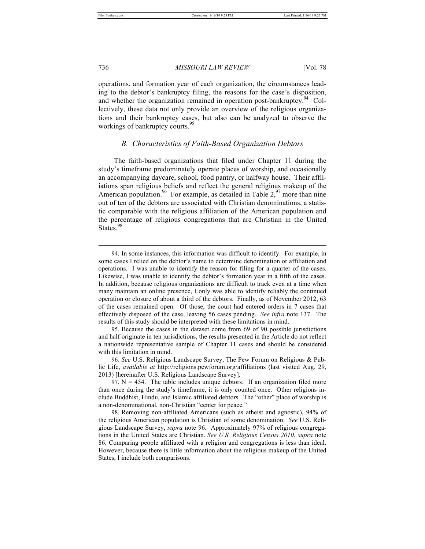736 *MISSOURI LAW REVIEW* [Vol. 78

operations, and formation year of each organization, the circumstances leading to the debtor's bankruptcy filing, the reasons for the case's disposition, and whether the organization remained in operation post-bankruptcy. $44^{\circ}$  Collectively, these data not only provide an overview of the religious organizations and their bankruptcy cases, but also can be analyzed to observe the workings of bankruptcy courts.<sup>95</sup>

#### *B. Characteristics of Faith-Based Organization Debtors*

The faith-based organizations that filed under Chapter 11 during the study's timeframe predominately operate places of worship, and occasionally an accompanying daycare, school, food pantry, or halfway house. Their affiliations span religious beliefs and reflect the general religious makeup of the American population.<sup>96</sup> For example, as detailed in Table  $2,97$  more than nine out of ten of the debtors are associated with Christian denominations, a statistic comparable with the religious affiliation of the American population and the percentage of religious congregations that are Christian in the United States.<sup>98</sup>

<sup>94.</sup> In some instances, this information was difficult to identify. For example, in some cases I relied on the debtor's name to determine denomination or affiliation and operations. I was unable to identify the reason for filing for a quarter of the cases. Likewise, I was unable to identify the debtor's formation year in a fifth of the cases. In addition, because religious organizations are difficult to track even at a time when many maintain an online presence, I only was able to identify reliably the continued operation or closure of about a third of the debtors. Finally, as of November 2012, 63 of the cases remained open. Of those, the court had entered orders in 7 cases that effectively disposed of the case, leaving 56 cases pending. *See infra* note 137. The results of this study should be interpreted with these limitations in mind.

<sup>95.</sup> Because the cases in the dataset come from 69 of 90 possible jurisdictions and half originate in ten jurisdictions, the results presented in the Article do not reflect a nationwide representative sample of Chapter 11 cases and should be considered with this limitation in mind.

<sup>96</sup>*. See* U.S. Religious Landscape Survey, The Pew Forum on Religious & Public Life, *available at* http://religions.pewforum.org/affiliations (last visited Aug. 29, 2013) [hereinafter U.S. Religious Landscape Survey].

<sup>97.</sup>  $N = 454$ . The table includes unique debtors. If an organization filed more than once during the study's timeframe, it is only counted once. Other religions include Buddhist, Hindu, and Islamic affiliated debtors. The "other" place of worship is a non-denominational, non-Christian "center for peace."

<sup>98.</sup> Removing non-affiliated Americans (such as atheist and agnostic), 94% of the religious American population is Christian of some denomination. *See* U.S. Religious Landscape Survey, *supra* note 96*.* Approximately 97% of religious congregations in the United States are Christian. *See U.S. Religious Census 2010*, *supra* note 86. Comparing people affiliated with a religion and congregations is less than ideal. However, because there is little information about the religious makeup of the United States, I include both comparisons.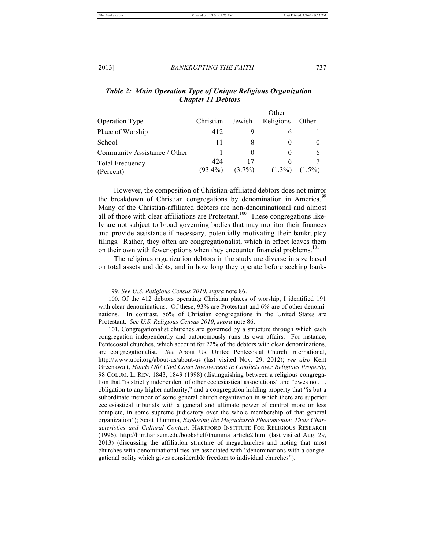#### 2013] *BANKRUPTING THE FAITH* 737

| <b>Operation Type</b>               | Christian         | Jewish          | Other<br>Religions | Other     |
|-------------------------------------|-------------------|-----------------|--------------------|-----------|
| Place of Worship                    | 412               |                 |                    |           |
| School                              | 11                |                 |                    | $\theta$  |
| Community Assistance / Other        |                   |                 |                    | 6         |
| <b>Total Frequency</b><br>(Percent) | 424<br>$(93.4\%)$ | 17<br>$(3.7\%)$ | $(1.3\%)$          | $(1.5\%)$ |

# *Table 2: Main Operation Type of Unique Religious Organization Chapter 11 Debtors*

However, the composition of Christian-affiliated debtors does not mirror the breakdown of Christian congregations by denomination in America.<sup>99</sup> Many of the Christian-affiliated debtors are non-denominational and almost all of those with clear affiliations are Protestant.<sup>100</sup> These congregations likely are not subject to broad governing bodies that may monitor their finances and provide assistance if necessary, potentially motivating their bankruptcy filings. Rather, they often are congregationalist, which in effect leaves them on their own with fewer options when they encounter financial problems.<sup>101</sup>

The religious organization debtors in the study are diverse in size based on total assets and debts, and in how long they operate before seeking bank-

<sup>99</sup>*. See U.S. Religious Census 2010*, *supra* note 86.

<sup>100.</sup> Of the 412 debtors operating Christian places of worship, I identified 191 with clear denominations. Of these, 93% are Protestant and 6% are of other denominations. In contrast, 86% of Christian congregations in the United States are Protestant. *See U.S. Religious Census 2010*, *supra* note 86.

<sup>101.</sup> Congregationalist churches are governed by a structure through which each congregation independently and autonomously runs its own affairs. For instance, Pentecostal churches, which account for 22% of the debtors with clear denominations, are congregationalist. *See* About Us, United Pentecostal Church International, http://www.upci.org/about-us/about-us (last visited Nov. 29, 2012); *see also* Kent Greenawalt, *Hands Off! Civil Court Involvement in Conflicts over Religious Property*, 98 COLUM. L. REV. 1843, 1849 (1998) (distinguishing between a religious congregation that "is strictly independent of other ecclesiastical associations" and "owes no ... obligation to any higher authority," and a congregation holding property that "is but a subordinate member of some general church organization in which there are superior ecclesiastical tribunals with a general and ultimate power of control more or less complete, in some supreme judicatory over the whole membership of that general organization"); Scott Thumma, *Exploring the Megachurch Phenomenon: Their Characteristics and Cultural Context*, HARTFORD INSTITUTE FOR RELIGIOUS RESEARCH (1996), http://hirr.hartsem.edu/bookshelf/thumma\_article2.html (last visited Aug. 29, 2013) (discussing the affiliation structure of megachurches and noting that most churches with denominational ties are associated with "denominations with a congregational polity which gives considerable freedom to individual churches").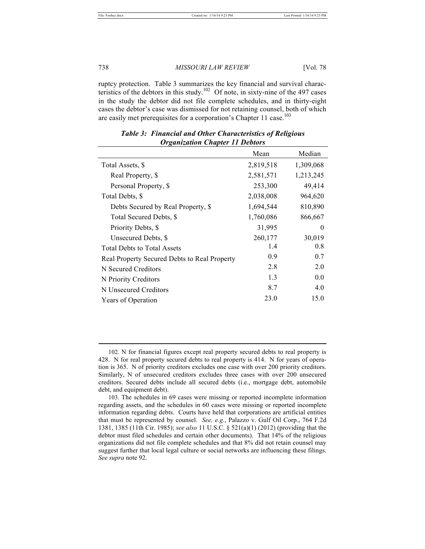738 *MISSOURI LAW REVIEW* [Vol. 78

ruptcy protection. Table 3 summarizes the key financial and survival characteristics of the debtors in this study.<sup>102</sup> Of note, in sixty-nine of the 497 cases in the study the debtor did not file complete schedules, and in thirty-eight cases the debtor's case was dismissed for not retaining counsel, both of which are easily met prerequisites for a corporation's Chapter 11 case.<sup>103</sup>

|                                              | Mean      | Median    |
|----------------------------------------------|-----------|-----------|
| Total Assets, \$                             | 2,819,518 | 1,309,068 |
| Real Property, \$                            | 2,581,571 | 1,213,245 |
| Personal Property, \$                        | 253,300   | 49,414    |
| Total Debts, \$                              | 2,038,008 | 964,620   |
| Debts Secured by Real Property, \$           | 1,694,544 | 810,890   |
| Total Secured Debts, \$                      | 1,760,086 | 866,667   |
| Priority Debts, \$                           | 31,995    | 0         |
| Unsecured Debts, \$                          | 260,177   | 30,019    |
| <b>Total Debts to Total Assets</b>           | 1.4       | 0.8       |
| Real Property Secured Debts to Real Property | 0.9       | 0.7       |
| N Secured Creditors                          | 2.8       | 2.0       |
| N Priority Creditors                         | 1.3       | 0.0       |
| N Unsecured Creditors                        | 8.7       | 4.0       |
| Years of Operation                           | 23.0      | 15.0      |

*Table 3: Financial and Other Characteristics of Religious Organization Chapter 11 Debtors*

<sup>102.</sup> N for financial figures except real property secured debts to real property is 428. N for real property secured debts to real property is 414. N for years of operation is 365. N of priority creditors excludes one case with over 200 priority creditors. Similarly, N of unsecured creditors excludes three cases with over 200 unsecured creditors. Secured debts include all secured debts (i.e., mortgage debt, automobile debt, and equipment debt).

<sup>103.</sup> The schedules in 69 cases were missing or reported incomplete information regarding assets, and the schedules in 60 cases were missing or reported incomplete information regarding debts. Courts have held that corporations are artificial entities that must be represented by counsel. *See, e.g.*, Palazzo v. Gulf Oil Corp., 764 F.2d 1381, 1385 (11th Cir. 1985); *see also* 11 U.S.C. § 521(a)(1) (2012) (providing that the debtor must filed schedules and certain other documents). That 14% of the religious organizations did not file complete schedules and that 8% did not retain counsel may suggest further that local legal culture or social networks are influencing these filings. *See supra* note 92.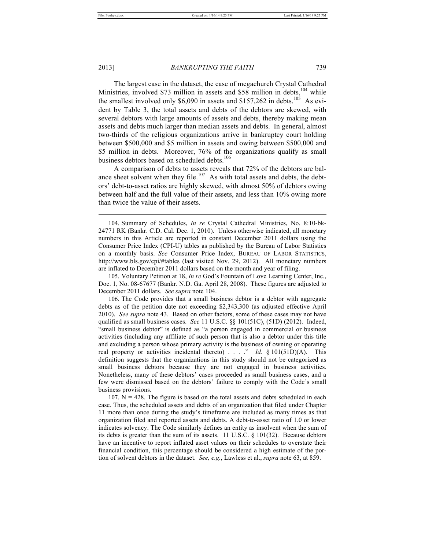#### 2013] *BANKRUPTING THE FAITH* 739

The largest case in the dataset, the case of megachurch Crystal Cathedral Ministries, involved \$73 million in assets and \$58 million in debts,<sup>104</sup> while the smallest involved only \$6,090 in assets and \$157,262 in debts.<sup>105</sup> As evident by Table 3, the total assets and debts of the debtors are skewed, with several debtors with large amounts of assets and debts, thereby making mean assets and debts much larger than median assets and debts. In general, almost two-thirds of the religious organizations arrive in bankruptcy court holding between \$500,000 and \$5 million in assets and owing between \$500,000 and \$5 million in debts. Moreover, 76% of the organizations qualify as small business debtors based on scheduled debts.<sup>106</sup>

A comparison of debts to assets reveals that 72% of the debtors are balance sheet solvent when they file.<sup>107</sup> As with total assets and debts, the debtors' debt-to-asset ratios are highly skewed, with almost 50% of debtors owing between half and the full value of their assets, and less than 10% owing more than twice the value of their assets.

105. Voluntary Petition at 18, *In re* God's Fountain of Love Learning Center, Inc., Doc. 1, No. 08-67677 (Bankr. N.D. Ga. April 28, 2008). These figures are adjusted to December 2011 dollars. *See supra* note 104.

106. The Code provides that a small business debtor is a debtor with aggregate debts as of the petition date not exceeding \$2,343,300 (as adjusted effective April 2010). *See supra* note 43. Based on other factors, some of these cases may not have qualified as small business cases. *See* 11 U.S.C. §§ 101(51C), (51D) (2012). Indeed, "small business debtor" is defined as "a person engaged in commercial or business activities (including any affiliate of such person that is also a debtor under this title and excluding a person whose primary activity is the business of owning or operating real property or activities incidental thereto) . . . ." *Id.* § 101(51D)(A). This definition suggests that the organizations in this study should not be categorized as small business debtors because they are not engaged in business activities. Nonetheless, many of these debtors' cases proceeded as small business cases, and a few were dismissed based on the debtors' failure to comply with the Code's small business provisions.

 $107.$  N = 428. The figure is based on the total assets and debts scheduled in each case. Thus, the scheduled assets and debts of an organization that filed under Chapter 11 more than once during the study's timeframe are included as many times as that organization filed and reported assets and debts. A debt-to-asset ratio of 1.0 or lower indicates solvency. The Code similarly defines an entity as insolvent when the sum of its debts is greater than the sum of its assets. 11 U.S.C.  $\S$  101(32). Because debtors have an incentive to report inflated asset values on their schedules to overstate their financial condition, this percentage should be considered a high estimate of the portion of solvent debtors in the dataset. *See, e.g.*, Lawless et al., *supra* note 63, at 859.

<sup>104.</sup> Summary of Schedules, *In re* Crystal Cathedral Ministries, No. 8:10-bk-24771 RK (Bankr. C.D. Cal. Dec. 1, 2010). Unless otherwise indicated, all monetary numbers in this Article are reported in constant December 2011 dollars using the Consumer Price Index (CPI-U) tables as published by the Bureau of Labor Statistics on a monthly basis. *See* Consumer Price Index, BUREAU OF LABOR STATISTICS, http://www.bls.gov/cpi/#tables (last visited Nov. 29, 2012). All monetary numbers are inflated to December 2011 dollars based on the month and year of filing.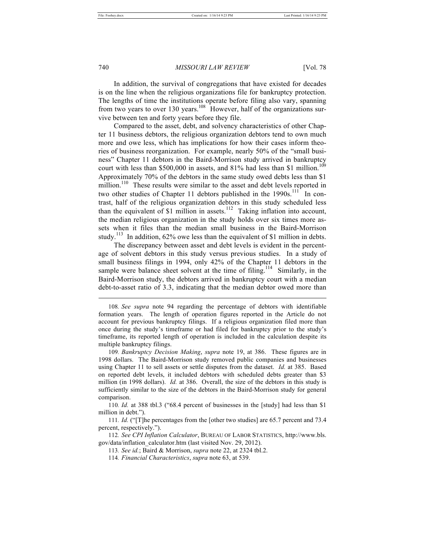In addition, the survival of congregations that have existed for decades is on the line when the religious organizations file for bankruptcy protection. The lengths of time the institutions operate before filing also vary, spanning from two years to over 130 years.<sup>108</sup> However, half of the organizations survive between ten and forty years before they file.

Compared to the asset, debt, and solvency characteristics of other Chapter 11 business debtors, the religious organization debtors tend to own much more and owe less, which has implications for how their cases inform theories of business reorganization. For example, nearly 50% of the "small business" Chapter 11 debtors in the Baird-Morrison study arrived in bankruptcy court with less than \$500,000 in assets, and  $81\%$  had less than \$1 million.<sup>109</sup> Approximately 70% of the debtors in the same study owed debts less than \$1 million.<sup>110</sup> These results were similar to the asset and debt levels reported in two other studies of Chapter 11 debtors published in the 1990s.<sup>111</sup> In contrast, half of the religious organization debtors in this study scheduled less than the equivalent of \$1 million in assets.<sup>112</sup> Taking inflation into account, the median religious organization in the study holds over six times more assets when it files than the median small business in the Baird-Morrison study.<sup>113</sup> In addition, 62% owe less than the equivalent of \$1 million in debts.

The discrepancy between asset and debt levels is evident in the percentage of solvent debtors in this study versus previous studies. In a study of small business filings in 1994, only 42% of the Chapter 11 debtors in the sample were balance sheet solvent at the time of filing.<sup>114</sup> Similarly, in the Baird-Morrison study, the debtors arrived in bankruptcy court with a median debt-to-asset ratio of 3.3, indicating that the median debtor owed more than

<sup>108</sup>*. See supra* note 94 regarding the percentage of debtors with identifiable formation years. The length of operation figures reported in the Article do not account for previous bankruptcy filings. If a religious organization filed more than once during the study's timeframe or had filed for bankruptcy prior to the study's timeframe, its reported length of operation is included in the calculation despite its multiple bankruptcy filings.

<sup>109</sup>*. Bankruptcy Decision Making*, *supra* note 19, at 386. These figures are in 1998 dollars. The Baird-Morrison study removed public companies and businesses using Chapter 11 to sell assets or settle disputes from the dataset. *Id.* at 385. Based on reported debt levels, it included debtors with scheduled debts greater than \$3 million (in 1998 dollars). *Id.* at 386. Overall, the size of the debtors in this study is sufficiently similar to the size of the debtors in the Baird-Morrison study for general comparison.

<sup>110</sup>*. Id.* at 388 tbl.3 ("68.4 percent of businesses in the [study] had less than \$1 million in debt.").

<sup>111</sup>*. Id.* ("[T]he percentages from the [other two studies] are 65.7 percent and 73.4 percent, respectively.").

<sup>112</sup>*. See CPI Inflation Calculator*, BUREAU OF LABOR STATISTICS, http://www.bls. gov/data/inflation\_calculator.htm (last visited Nov. 29, 2012).

<sup>113</sup>*. See id.*; Baird & Morrison, *supra* note 22, at 2324 tbl.2.

<sup>114</sup>*. Financial Characteristics*, *supra* note 63, at 539.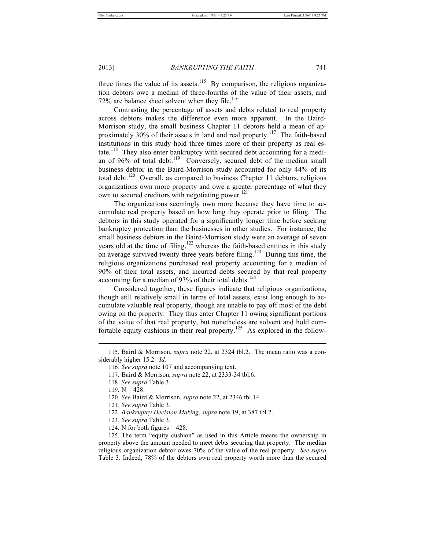three times the value of its assets.<sup>115</sup> By comparison, the religious organization debtors owe a median of three-fourths of the value of their assets, and 72% are balance sheet solvent when they file.<sup>116</sup>

Contrasting the percentage of assets and debts related to real property across debtors makes the difference even more apparent. In the Baird-Morrison study, the small business Chapter 11 debtors held a mean of approximately 30% of their assets in land and real property.<sup>117</sup> The faith-based institutions in this study hold three times more of their property as real estate.<sup>118</sup> They also enter bankruptcy with secured debt accounting for a median of 96% of total debt.<sup>119</sup> Conversely, secured debt of the median small business debtor in the Baird-Morrison study accounted for only 44% of its total debt.<sup>120</sup> Overall, as compared to business Chapter 11 debtors, religious organizations own more property and owe a greater percentage of what they own to secured creditors with negotiating power.<sup>121</sup>

The organizations seemingly own more because they have time to accumulate real property based on how long they operate prior to filing. The debtors in this study operated for a significantly longer time before seeking bankruptcy protection than the businesses in other studies. For instance, the small business debtors in the Baird-Morrison study were an average of seven years old at the time of filing,<sup>122</sup> whereas the faith-based entities in this study on average survived twenty-three years before filing.<sup>123</sup> During this time, the religious organizations purchased real property accounting for a median of 90% of their total assets, and incurred debts secured by that real property accounting for a median of 93% of their total debts.<sup>124</sup>

Considered together, these figures indicate that religious organizations, though still relatively small in terms of total assets, exist long enough to accumulate valuable real property, though are unable to pay off most of the debt owing on the property. They thus enter Chapter 11 owing significant portions of the value of that real property, but nonetheless are solvent and hold comfortable equity cushions in their real property.<sup>125</sup> As explored in the follow-

l

- 122*. Bankruptcy Decision Making*, *supra* note 19, at 387 tbl.2.
- 123*. See supra* Table 3.
- 124. N for both figures  $= 428$ .

125. The term "equity cushion" as used in this Article means the ownership in property above the amount needed to meet debts securing that property. The median religious organization debtor owes 70% of the value of the real property. *See supra* Table 3. Indeed, 78% of the debtors own real property worth more than the secured

<sup>115.</sup> Baird & Morrison, *supra* note 22, at 2324 tbl.2. The mean ratio was a considerably higher 15.2. *Id.* 

<sup>116</sup>*. See supra* note 107 and accompanying text.

<sup>117.</sup> Baird & Morrison, *supra* note 22, at 2333-34 tbl.6.

<sup>118</sup>*. See supra* Table 3.

<sup>119.</sup>  $N = 428$ .

<sup>120</sup>*. See* Baird & Morrison, *supra* note 22, at 2346 tbl.14.

<sup>121</sup>*. See supra* Table 3.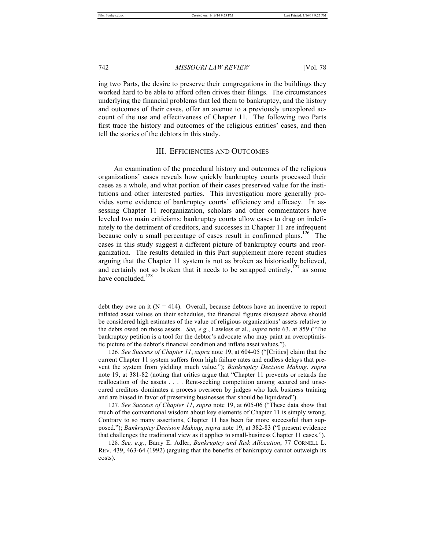742 *MISSOURI LAW REVIEW* [Vol. 78

ing two Parts, the desire to preserve their congregations in the buildings they worked hard to be able to afford often drives their filings. The circumstances underlying the financial problems that led them to bankruptcy, and the history and outcomes of their cases, offer an avenue to a previously unexplored account of the use and effectiveness of Chapter 11. The following two Parts first trace the history and outcomes of the religious entities' cases, and then tell the stories of the debtors in this study.

#### III. EFFICIENCIES AND OUTCOMES

An examination of the procedural history and outcomes of the religious organizations' cases reveals how quickly bankruptcy courts processed their cases as a whole, and what portion of their cases preserved value for the institutions and other interested parties. This investigation more generally provides some evidence of bankruptcy courts' efficiency and efficacy. In assessing Chapter 11 reorganization, scholars and other commentators have leveled two main criticisms: bankruptcy courts allow cases to drag on indefinitely to the detriment of creditors, and successes in Chapter 11 are infrequent because only a small percentage of cases result in confirmed plans.<sup>126</sup> The cases in this study suggest a different picture of bankruptcy courts and reorganization. The results detailed in this Part supplement more recent studies arguing that the Chapter 11 system is not as broken as historically believed, and certainly not so broken that it needs to be scrapped entirely,  $^{127}$  as some have concluded.<sup>128</sup>

127*. See Success of Chapter 11*, *supra* note 19, at 605-06 ("These data show that much of the conventional wisdom about key elements of Chapter 11 is simply wrong. Contrary to so many assertions, Chapter 11 has been far more successful than supposed."); *Bankruptcy Decision Making*, *supra* note 19, at 382-83 ("I present evidence that challenges the traditional view as it applies to small-business Chapter 11 cases.").

128*. See, e.g.*, Barry E. Adler, *Bankruptcy and Risk Allocation*, 77 CORNELL L. REV. 439, 463-64 (1992) (arguing that the benefits of bankruptcy cannot outweigh its costs).

debt they owe on it  $(N = 414)$ . Overall, because debtors have an incentive to report inflated asset values on their schedules, the financial figures discussed above should be considered high estimates of the value of religious organizations' assets relative to the debts owed on those assets. *See, e.g.*, Lawless et al., *supra* note 63, at 859 ("The bankruptcy petition is a tool for the debtor's advocate who may paint an overoptimistic picture of the debtor's financial condition and inflate asset values.").

<sup>126</sup>*. See Success of Chapter 11*, *supra* note 19, at 604-05 ("[Critics] claim that the current Chapter 11 system suffers from high failure rates and endless delays that prevent the system from yielding much value."); *Bankruptcy Decision Making*, *supra* note 19, at 381-82 (noting that critics argue that "Chapter 11 prevents or retards the reallocation of the assets . . . . Rent-seeking competition among secured and unsecured creditors dominates a process overseen by judges who lack business training and are biased in favor of preserving businesses that should be liquidated").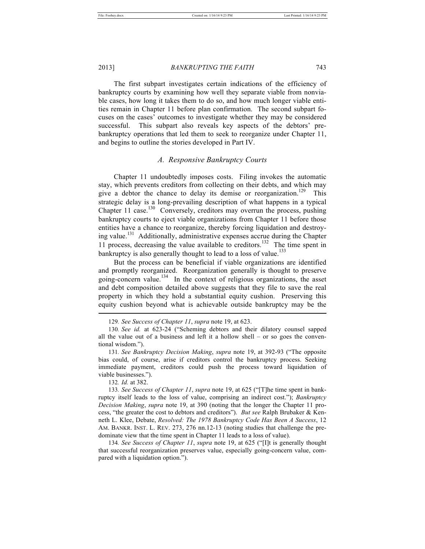The first subpart investigates certain indications of the efficiency of bankruptcy courts by examining how well they separate viable from nonviable cases, how long it takes them to do so, and how much longer viable entities remain in Chapter 11 before plan confirmation. The second subpart focuses on the cases' outcomes to investigate whether they may be considered successful. This subpart also reveals key aspects of the debtors' prebankruptcy operations that led them to seek to reorganize under Chapter 11, and begins to outline the stories developed in Part IV.

# *A. Responsive Bankruptcy Courts*

Chapter 11 undoubtedly imposes costs. Filing invokes the automatic stay, which prevents creditors from collecting on their debts, and which may give a debtor the chance to delay its demise or reorganization.<sup>129</sup> This strategic delay is a long-prevailing description of what happens in a typical Chapter 11 case.<sup>130</sup> Conversely, creditors may overrun the process, pushing bankruptcy courts to eject viable organizations from Chapter 11 before those entities have a chance to reorganize, thereby forcing liquidation and destroying value.<sup>131</sup> Additionally, administrative expenses accrue during the Chapter 11 process, decreasing the value available to creditors.<sup>132</sup> The time spent in bankruptcy is also generally thought to lead to a loss of value.<sup>133</sup>

But the process can be beneficial if viable organizations are identified and promptly reorganized. Reorganization generally is thought to preserve going-concern value.<sup>134</sup> In the context of religious organizations, the asset and debt composition detailed above suggests that they file to save the real property in which they hold a substantial equity cushion. Preserving this equity cushion beyond what is achievable outside bankruptcy may be the

132*. Id.* at 382.

134*. See Success of Chapter 11*, *supra* note 19, at 625 ("[I]t is generally thought that successful reorganization preserves value, especially going-concern value, compared with a liquidation option.").

<sup>129</sup>*. See Success of Chapter 11*, *supra* note 19, at 623.

<sup>130</sup>*. See id.* at 623-24 ("Scheming debtors and their dilatory counsel sapped all the value out of a business and left it a hollow shell – or so goes the conventional wisdom.").

<sup>131</sup>*. See Bankruptcy Decision Making*, *supra* note 19, at 392-93 ("The opposite bias could, of course, arise if creditors control the bankruptcy process. Seeking immediate payment, creditors could push the process toward liquidation of viable businesses.").

<sup>133</sup>*. See Success of Chapter 11*, *supra* note 19, at 625 ("[T]he time spent in bankruptcy itself leads to the loss of value, comprising an indirect cost."); *Bankruptcy Decision Making*, *supra* note 19, at 390 (noting that the longer the Chapter 11 process, "the greater the cost to debtors and creditors"). *But see* Ralph Brubaker & Kenneth L. Klee, Debate, *Resolved: The 1978 Bankruptcy Code Has Been A Success*, 12 AM. BANKR. INST. L. REV. 273, 276 nn.12-13 (noting studies that challenge the predominate view that the time spent in Chapter 11 leads to a loss of value).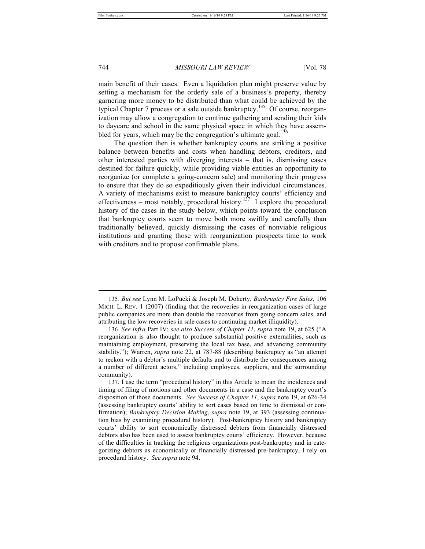#### 744 *MISSOURI LAW REVIEW* [Vol. 78

main benefit of their cases. Even a liquidation plan might preserve value by setting a mechanism for the orderly sale of a business's property, thereby garnering more money to be distributed than what could be achieved by the typical Chapter 7 process or a sale outside bankruptcy.<sup>135</sup> Of course, reorganization may allow a congregation to continue gathering and sending their kids to daycare and school in the same physical space in which they have assembled for years, which may be the congregation's ultimate goal.<sup>136</sup>

The question then is whether bankruptcy courts are striking a positive balance between benefits and costs when handling debtors, creditors, and other interested parties with diverging interests – that is, dismissing cases destined for failure quickly, while providing viable entities an opportunity to reorganize (or complete a going-concern sale) and monitoring their progress to ensure that they do so expeditiously given their individual circumstances. A variety of mechanisms exist to measure bankruptcy courts' efficiency and effectiveness – most notably, procedural history.<sup>137</sup> I explore the procedural history of the cases in the study below, which points toward the conclusion that bankruptcy courts seem to move both more swiftly and carefully than traditionally believed, quickly dismissing the cases of nonviable religious institutions and granting those with reorganization prospects time to work with creditors and to propose confirmable plans.

<sup>135</sup>*. But see* Lynn M. LoPucki & Joseph M. Doherty, *Bankruptcy Fire Sales*, 106 MICH. L. REV. 1 (2007) (finding that the recoveries in reorganization cases of large public companies are more than double the recoveries from going concern sales, and attributing the low recoveries in sale cases to continuing market illiquidity).

<sup>136</sup>*. See infra* Part IV; *see also Success of Chapter 11*, *supra* note 19, at 625 ("A reorganization is also thought to produce substantial positive externalities, such as maintaining employment, preserving the local tax base, and advancing community stability."); Warren, *supra* note 22, at 787-88 (describing bankruptcy as "an attempt to reckon with a debtor's multiple defaults and to distribute the consequences among a number of different actors," including employees, suppliers, and the surrounding community).

<sup>137.</sup> I use the term "procedural history" in this Article to mean the incidences and timing of filing of motions and other documents in a case and the bankruptcy court's disposition of those documents. *See Success of Chapter 11*, *supra* note 19, at 626-34 (assessing bankruptcy courts' ability to sort cases based on time to dismissal or confirmation); *Bankruptcy Decision Making*, *supra* note 19, at 393 (assessing continuation bias by examining procedural history). Post-bankruptcy history and bankruptcy courts' ability to sort economically distressed debtors from financially distressed debtors also has been used to assess bankruptcy courts' efficiency. However, because of the difficulties in tracking the religious organizations post-bankruptcy and in categorizing debtors as economically or financially distressed pre-bankruptcy, I rely on procedural history. *See supra* note 94.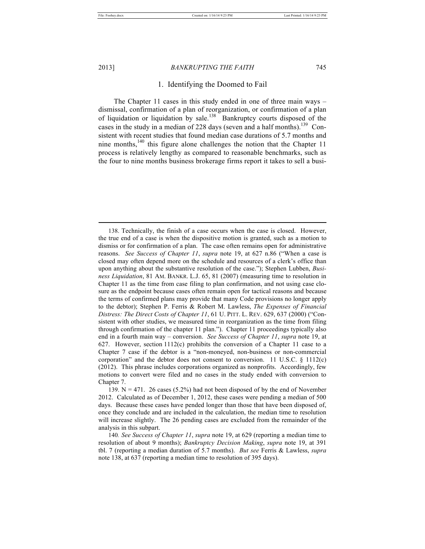## 2013] *BANKRUPTING THE FAITH* 745

# 1. Identifying the Doomed to Fail

The Chapter 11 cases in this study ended in one of three main ways – dismissal, confirmation of a plan of reorganization, or confirmation of a plan of liquidation or liquidation by sale.<sup>138</sup> Bankruptcy courts disposed of the cases in the study in a median of 228 days (seven and a half months).<sup>139</sup> Consistent with recent studies that found median case durations of 5.7 months and nine months,  $140$  this figure alone challenges the notion that the Chapter 11 process is relatively lengthy as compared to reasonable benchmarks, such as the four to nine months business brokerage firms report it takes to sell a busi-

<sup>138.</sup> Technically, the finish of a case occurs when the case is closed. However, the true end of a case is when the dispositive motion is granted, such as a motion to dismiss or for confirmation of a plan. The case often remains open for administrative reasons. *See Success of Chapter 11*, *supra* note 19, at 627 n.86 ("When a case is closed may often depend more on the schedule and resources of a clerk's office than upon anything about the substantive resolution of the case."); Stephen Lubben, *Business Liquidation*, 81 AM. BANKR. L.J. 65, 81 (2007) (measuring time to resolution in Chapter 11 as the time from case filing to plan confirmation, and not using case closure as the endpoint because cases often remain open for tactical reasons and because the terms of confirmed plans may provide that many Code provisions no longer apply to the debtor); Stephen P. Ferris & Robert M. Lawless, *The Expenses of Financial Distress: The Direct Costs of Chapter 11*, 61 U. PITT. L. REV. 629, 637 (2000) ("Consistent with other studies, we measured time in reorganization as the time from filing through confirmation of the chapter 11 plan."). Chapter 11 proceedings typically also end in a fourth main way – conversion. *See Success of Chapter 11*, *supra* note 19, at 627. However, section  $1112(c)$  prohibits the conversion of a Chapter 11 case to a Chapter 7 case if the debtor is a "non-moneyed, non-business or non-commercial corporation" and the debtor does not consent to conversion. 11 U.S.C.  $\S$  1112(c) (2012). This phrase includes corporations organized as nonprofits. Accordingly, few motions to convert were filed and no cases in the study ended with conversion to Chapter 7.

<sup>139.</sup>  $N = 471$ . 26 cases (5.2%) had not been disposed of by the end of November 2012. Calculated as of December 1, 2012, these cases were pending a median of 500 days. Because these cases have pended longer than those that have been disposed of, once they conclude and are included in the calculation, the median time to resolution will increase slightly. The 26 pending cases are excluded from the remainder of the analysis in this subpart.

<sup>140</sup>*. See Success of Chapter 11*, *supra* note 19, at 629 (reporting a median time to resolution of about 9 months); *Bankruptcy Decision Making*, *supra* note 19, at 391 tbl. 7 (reporting a median duration of 5.7 months). *But see* Ferris & Lawless, *supra* note 138, at 637 (reporting a median time to resolution of 395 days).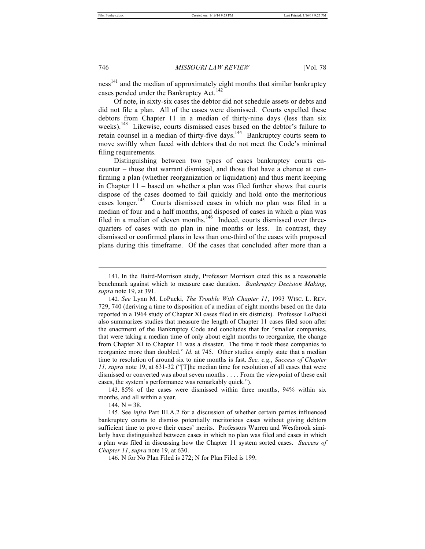ness<sup>141</sup> and the median of approximately eight months that similar bankruptcy cases pended under the Bankruptcy Act.<sup>142</sup>

Of note, in sixty-six cases the debtor did not schedule assets or debts and did not file a plan. All of the cases were dismissed. Courts expelled these debtors from Chapter 11 in a median of thirty-nine days (less than six weeks).<sup>143</sup> Likewise, courts dismissed cases based on the debtor's failure to retain counsel in a median of thirty-five days.<sup>144</sup> Bankruptcy courts seem to move swiftly when faced with debtors that do not meet the Code's minimal filing requirements.

Distinguishing between two types of cases bankruptcy courts encounter – those that warrant dismissal, and those that have a chance at confirming a plan (whether reorganization or liquidation) and thus merit keeping in Chapter 11 – based on whether a plan was filed further shows that courts dispose of the cases doomed to fail quickly and hold onto the meritorious cases longer.<sup>145</sup> Courts dismissed cases in which no plan was filed in a median of four and a half months, and disposed of cases in which a plan was filed in a median of eleven months.<sup>146</sup> Indeed, courts dismissed over threequarters of cases with no plan in nine months or less. In contrast, they dismissed or confirmed plans in less than one-third of the cases with proposed plans during this timeframe. Of the cases that concluded after more than a

143. 85% of the cases were dismissed within three months, 94% within six months, and all within a year.

144.  $N = 38$ .

<sup>141.</sup> In the Baird-Morrison study, Professor Morrison cited this as a reasonable benchmark against which to measure case duration. *Bankruptcy Decision Making*, *supra* note 19, at 391.

<sup>142</sup>*. See* Lynn M. LoPucki, *The Trouble With Chapter 11*, 1993 WISC. L. REV. 729, 740 (deriving a time to disposition of a median of eight months based on the data reported in a 1964 study of Chapter XI cases filed in six districts). Professor LoPucki also summarizes studies that measure the length of Chapter 11 cases filed soon after the enactment of the Bankruptcy Code and concludes that for "smaller companies, that were taking a median time of only about eight months to reorganize, the change from Chapter XI to Chapter 11 was a disaster. The time it took these companies to reorganize more than doubled." *Id.* at 745. Other studies simply state that a median time to resolution of around six to nine months is fast. *See, e.g.*, *Success of Chapter 11*, *supra* note 19, at 631-32 ("[T]he median time for resolution of all cases that were dismissed or converted was about seven months . . . . From the viewpoint of these exit cases, the system's performance was remarkably quick.").

<sup>145</sup>*.* See *infra* Part III.A.2 for a discussion of whether certain parties influenced bankruptcy courts to dismiss potentially meritorious cases without giving debtors sufficient time to prove their cases' merits. Professors Warren and Westbrook similarly have distinguished between cases in which no plan was filed and cases in which a plan was filed in discussing how the Chapter 11 system sorted cases. *Success of Chapter 11*, *supra* note 19, at 630.

<sup>146.</sup> N for No Plan Filed is 272; N for Plan Filed is 199.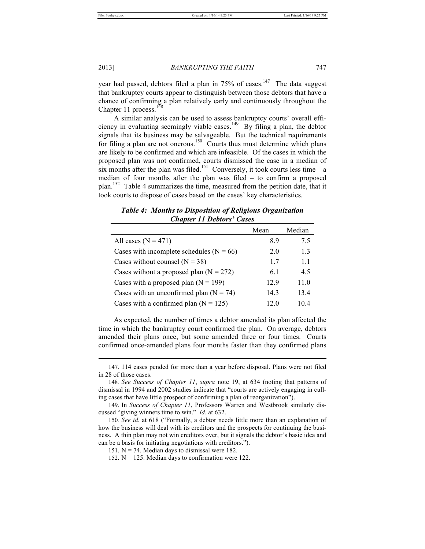Chapter 11 process.<sup>1</sup>

2013] *BANKRUPTING THE FAITH* 747

year had passed, debtors filed a plan in 75% of cases.<sup>147</sup> The data suggest that bankruptcy courts appear to distinguish between those debtors that have a chance of confirming a plan relatively early and continuously throughout the

A similar analysis can be used to assess bankruptcy courts' overall efficiency in evaluating seemingly viable cases.<sup>149</sup> By filing a plan, the debtor signals that its business may be salvageable. But the technical requirements for filing a plan are not onerous.<sup>150</sup> Courts thus must determine which plans are likely to be confirmed and which are infeasible. Of the cases in which the proposed plan was not confirmed, courts dismissed the case in a median of six months after the plan was filed.<sup>151</sup> Conversely, it took courts less time – a median of four months after the plan was filed – to confirm a proposed plan.<sup>152</sup> Table 4 summarizes the time, measured from the petition date, that it took courts to dispose of cases based on the cases' key characteristics.

*Table 4: Months to Disposition of Religious Organization Chapter 11 Debtors' Cases*

|                                            | Mean | Median |
|--------------------------------------------|------|--------|
| All cases $(N = 471)$                      | 8.9  | 75     |
| Cases with incomplete schedules $(N = 66)$ | 2.0  | 1.3    |
| Cases without counsel $(N = 38)$           | 17   | 11     |
| Cases without a proposed plan $(N = 272)$  | 6.1  | 4.5    |
| Cases with a proposed plan $(N = 199)$     | 129  | 11.0   |
| Cases with an unconfirmed plan $(N = 74)$  | 14.3 | 13.4   |
| Cases with a confirmed plan $(N = 125)$    | 12.0 | 104    |

As expected, the number of times a debtor amended its plan affected the time in which the bankruptcy court confirmed the plan. On average, debtors amended their plans once, but some amended three or four times. Courts confirmed once-amended plans four months faster than they confirmed plans

<sup>147.</sup> 114 cases pended for more than a year before disposal. Plans were not filed in 28 of those cases.

<sup>148</sup>*. See Success of Chapter 11*, *supra* note 19, at 634 (noting that patterns of dismissal in 1994 and 2002 studies indicate that "courts are actively engaging in culling cases that have little prospect of confirming a plan of reorganization").

<sup>149.</sup> In *Success of Chapter 11*, Professors Warren and Westbrook similarly discussed "giving winners time to win." *Id.* at 632.

<sup>150</sup>*. See id.* at 618 ("Formally, a debtor needs little more than an explanation of how the business will deal with its creditors and the prospects for continuing the business. A thin plan may not win creditors over, but it signals the debtor's basic idea and can be a basis for initiating negotiations with creditors.").

<sup>151.</sup>  $N = 74$ . Median days to dismissal were 182.

<sup>152.</sup>  $N = 125$ . Median days to confirmation were 122.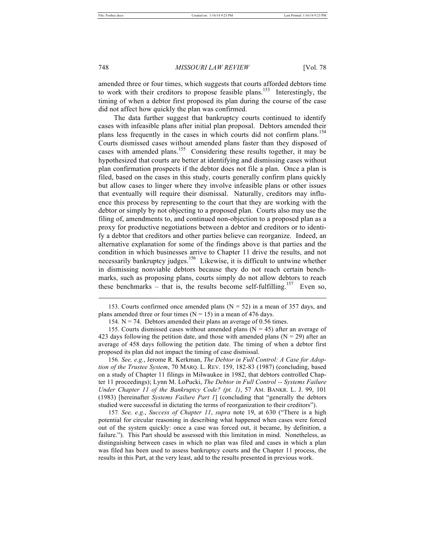#### 748 *MISSOURI LAW REVIEW* [Vol. 78

amended three or four times, which suggests that courts afforded debtors time to work with their creditors to propose feasible plans.<sup>153</sup> Interestingly, the timing of when a debtor first proposed its plan during the course of the case did not affect how quickly the plan was confirmed.

The data further suggest that bankruptcy courts continued to identify cases with infeasible plans after initial plan proposal. Debtors amended their plans less frequently in the cases in which courts did not confirm plans.<sup>154</sup> Courts dismissed cases without amended plans faster than they disposed of cases with amended plans.<sup>155</sup> Considering these results together, it may be hypothesized that courts are better at identifying and dismissing cases without plan confirmation prospects if the debtor does not file a plan. Once a plan is filed, based on the cases in this study, courts generally confirm plans quickly but allow cases to linger where they involve infeasible plans or other issues that eventually will require their dismissal. Naturally, creditors may influence this process by representing to the court that they are working with the debtor or simply by not objecting to a proposed plan. Courts also may use the filing of, amendments to, and continued non-objection to a proposed plan as a proxy for productive negotiations between a debtor and creditors or to identify a debtor that creditors and other parties believe can reorganize. Indeed, an alternative explanation for some of the findings above is that parties and the condition in which businesses arrive to Chapter 11 drive the results, and not necessarily bankruptcy judges.<sup>156</sup> Likewise, it is difficult to untwine whether in dismissing nonviable debtors because they do not reach certain benchmarks, such as proposing plans, courts simply do not allow debtors to reach these benchmarks – that is, the results become self-fulfilling.<sup>157</sup> Even so,

156*. See, e.g.*, Jerome R. Kerkman, *The Debtor in Full Control: A Case for Adoption of the Trustee System*, 70 MARQ. L. REV. 159, 182-83 (1987) (concluding, based on a study of Chapter 11 filings in Milwaukee in 1982, that debtors controlled Chapter 11 proceedings); Lynn M. LoPucki, *The Debtor in Full Control -- Systems Failure Under Chapter 11 of the Bankruptcy Code? (pt. 1)*, 57 AM. BANKR. L. J. 99, 101 (1983) [hereinafter *Systems Failure Part 1*] (concluding that "generally the debtors studied were successful in dictating the terms of reorganization to their creditors").

157*. See, e.g.*, *Success of Chapter 11*, *supra* note 19, at 630 ("There is a high potential for circular reasoning in describing what happened when cases were forced out of the system quickly: once a case was forced out, it became, by definition, a failure."). This Part should be assessed with this limitation in mind. Nonetheless, as distinguishing between cases in which no plan was filed and cases in which a plan was filed has been used to assess bankruptcy courts and the Chapter 11 process, the results in this Part, at the very least, add to the results presented in previous work.

<sup>153.</sup> Courts confirmed once amended plans  $(N = 52)$  in a mean of 357 days, and plans amended three or four times ( $N = 15$ ) in a mean of 476 days.

<sup>154.</sup>  $N = 74$ . Debtors amended their plans an average of 0.56 times.

<sup>155.</sup> Courts dismissed cases without amended plans  $(N = 45)$  after an average of 423 days following the petition date, and those with amended plans ( $N = 29$ ) after an average of 458 days following the petition date. The timing of when a debtor first proposed its plan did not impact the timing of case dismissal.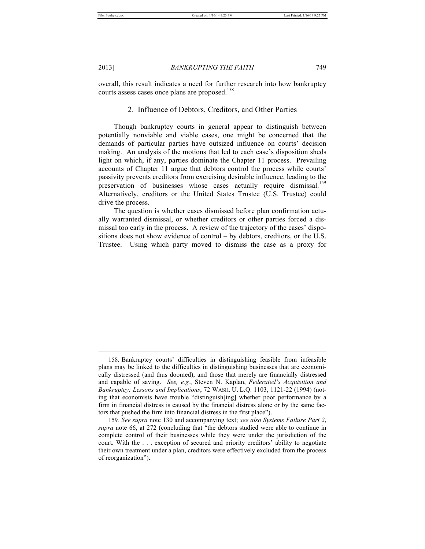#### 2013] *BANKRUPTING THE FAITH* 749

overall, this result indicates a need for further research into how bankruptcy courts assess cases once plans are proposed.<sup>158</sup>

# 2. Influence of Debtors, Creditors, and Other Parties

Though bankruptcy courts in general appear to distinguish between potentially nonviable and viable cases, one might be concerned that the demands of particular parties have outsized influence on courts' decision making. An analysis of the motions that led to each case's disposition sheds light on which, if any, parties dominate the Chapter 11 process. Prevailing accounts of Chapter 11 argue that debtors control the process while courts' passivity prevents creditors from exercising desirable influence, leading to the preservation of businesses whose cases actually require dismissal.<sup>159</sup> Alternatively, creditors or the United States Trustee (U.S. Trustee) could drive the process.

The question is whether cases dismissed before plan confirmation actually warranted dismissal, or whether creditors or other parties forced a dismissal too early in the process. A review of the trajectory of the cases' dispositions does not show evidence of control – by debtors, creditors, or the U.S. Trustee. Using which party moved to dismiss the case as a proxy for

<sup>158.</sup> Bankruptcy courts' difficulties in distinguishing feasible from infeasible plans may be linked to the difficulties in distinguishing businesses that are economically distressed (and thus doomed), and those that merely are financially distressed and capable of saving. *See, e.g.*, Steven N. Kaplan, *Federated's Acquisition and Bankruptcy: Lessons and Implications*, 72 WASH. U. L.Q. 1103, 1121-22 (1994) (noting that economists have trouble "distinguish[ing] whether poor performance by a firm in financial distress is caused by the financial distress alone or by the same factors that pushed the firm into financial distress in the first place").

<sup>159</sup>*. See supra* note 130 and accompanying text; *see also Systems Failure Part 2*, *supra* note 66, at 272 (concluding that "the debtors studied were able to continue in complete control of their businesses while they were under the jurisdiction of the court. With the . . . exception of secured and priority creditors' ability to negotiate their own treatment under a plan, creditors were effectively excluded from the process of reorganization").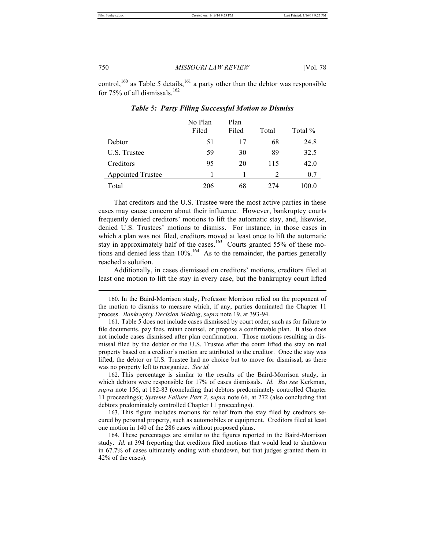control,<sup>160</sup> as Table 5 details,<sup>161</sup> a party other than the debtor was responsible for 75% of all dismissals.<sup>162</sup>

|                          | No Plan<br>Filed | Plan<br>Filed | Total | Total % |
|--------------------------|------------------|---------------|-------|---------|
| Debtor                   | 51               | 17            | 68    | 24.8    |
| U.S. Trustee             | 59               | 30            | 89    | 32.5    |
| Creditors                | 95               | 20            | 115   | 42.0    |
| <b>Appointed Trustee</b> |                  |               | 2     | 0.7     |
| Total                    | 206              | 68            | 274   | 100.0   |

*Table 5: Party Filing Successful Motion to Dismiss*

That creditors and the U.S. Trustee were the most active parties in these cases may cause concern about their influence. However, bankruptcy courts frequently denied creditors' motions to lift the automatic stay, and, likewise, denied U.S. Trustees' motions to dismiss. For instance, in those cases in which a plan was not filed, creditors moved at least once to lift the automatic stay in approximately half of the cases.<sup>163</sup> Courts granted 55% of these motions and denied less than  $10\%$ .<sup>164</sup> As to the remainder, the parties generally reached a solution.

Additionally, in cases dismissed on creditors' motions, creditors filed at least one motion to lift the stay in every case, but the bankruptcy court lifted

160. In the Baird-Morrison study, Professor Morrison relied on the proponent of the motion to dismiss to measure which, if any, parties dominated the Chapter 11 process. *Bankruptcy Decision Making*, *supra* note 19, at 393-94.

161. Table 5 does not include cases dismissed by court order, such as for failure to file documents, pay fees, retain counsel, or propose a confirmable plan. It also does not include cases dismissed after plan confirmation. Those motions resulting in dismissal filed by the debtor or the U.S. Trustee after the court lifted the stay on real property based on a creditor's motion are attributed to the creditor. Once the stay was lifted, the debtor or U.S. Trustee had no choice but to move for dismissal, as there was no property left to reorganize. *See id.*

162. This percentage is similar to the results of the Baird-Morrison study, in which debtors were responsible for 17% of cases dismissals. *Id. But see* Kerkman, *supra* note 156, at 182-83 (concluding that debtors predominately controlled Chapter 11 proceedings); *Systems Failure Part 2*, *supra* note 66, at 272 (also concluding that debtors predominately controlled Chapter 11 proceedings).

163. This figure includes motions for relief from the stay filed by creditors secured by personal property, such as automobiles or equipment. Creditors filed at least one motion in 140 of the 286 cases without proposed plans.

164. These percentages are similar to the figures reported in the Baird-Morrison study. *Id.* at 394 (reporting that creditors filed motions that would lead to shutdown in 67.7% of cases ultimately ending with shutdown, but that judges granted them in 42% of the cases).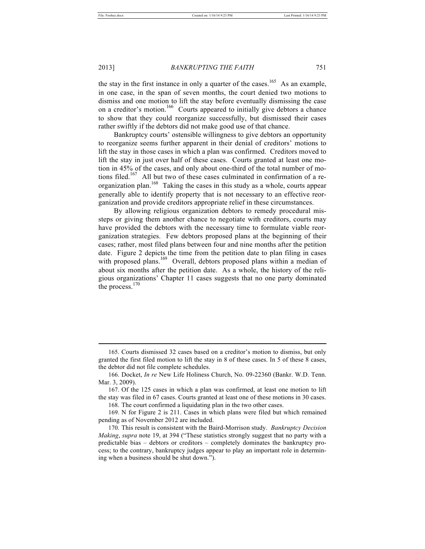#### 2013] *BANKRUPTING THE FAITH* 751

the stay in the first instance in only a quarter of the cases.<sup>165</sup> As an example, in one case, in the span of seven months, the court denied two motions to dismiss and one motion to lift the stay before eventually dismissing the case on a creditor's motion.<sup>166</sup> Courts appeared to initially give debtors a chance to show that they could reorganize successfully, but dismissed their cases rather swiftly if the debtors did not make good use of that chance.

Bankruptcy courts' ostensible willingness to give debtors an opportunity to reorganize seems further apparent in their denial of creditors' motions to lift the stay in those cases in which a plan was confirmed. Creditors moved to lift the stay in just over half of these cases. Courts granted at least one motion in 45% of the cases, and only about one-third of the total number of motions filed.<sup>167</sup> All but two of these cases culminated in confirmation of a reorganization plan.<sup>168</sup> Taking the cases in this study as a whole, courts appear generally able to identify property that is not necessary to an effective reorganization and provide creditors appropriate relief in these circumstances.

By allowing religious organization debtors to remedy procedural missteps or giving them another chance to negotiate with creditors, courts may have provided the debtors with the necessary time to formulate viable reorganization strategies. Few debtors proposed plans at the beginning of their cases; rather, most filed plans between four and nine months after the petition date. Figure 2 depicts the time from the petition date to plan filing in cases with proposed plans.<sup>169</sup> Overall, debtors proposed plans within a median of about six months after the petition date. As a whole, the history of the religious organizations' Chapter 11 cases suggests that no one party dominated the process. $170$ 

168. The court confirmed a liquidating plan in the two other cases.

<sup>165.</sup> Courts dismissed 32 cases based on a creditor's motion to dismiss, but only granted the first filed motion to lift the stay in 8 of these cases. In 5 of these 8 cases, the debtor did not file complete schedules.

<sup>166.</sup> Docket, *In re* New Life Holiness Church, No. 09-22360 (Bankr. W.D. Tenn. Mar. 3, 2009).

<sup>167.</sup> Of the 125 cases in which a plan was confirmed, at least one motion to lift the stay was filed in 67 cases. Courts granted at least one of these motions in 30 cases.

<sup>169.</sup> N for Figure 2 is 211. Cases in which plans were filed but which remained pending as of November 2012 are included.

<sup>170.</sup> This result is consistent with the Baird-Morrison study. *Bankruptcy Decision Making*, *supra* note 19, at 394 ("These statistics strongly suggest that no party with a predictable bias – debtors or creditors – completely dominates the bankruptcy process; to the contrary, bankruptcy judges appear to play an important role in determining when a business should be shut down.").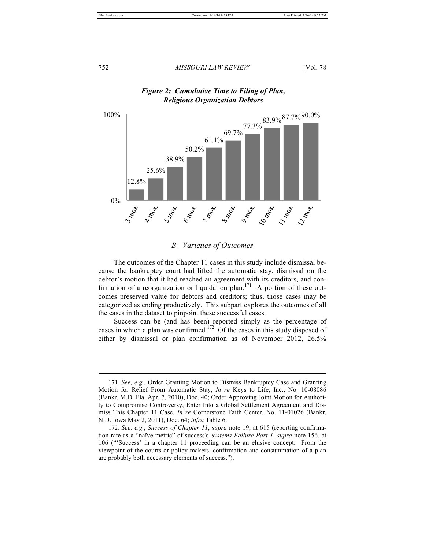

# *Figure 2: Cumulative Time to Filing of Plan, Religious Organization Debtors*

# *B. Varieties of Outcomes*

The outcomes of the Chapter 11 cases in this study include dismissal because the bankruptcy court had lifted the automatic stay, dismissal on the debtor's motion that it had reached an agreement with its creditors, and confirmation of a reorganization or liquidation plan.<sup>171</sup> A portion of these outcomes preserved value for debtors and creditors; thus, those cases may be categorized as ending productively. This subpart explores the outcomes of all the cases in the dataset to pinpoint these successful cases.

Success can be (and has been) reported simply as the percentage of cases in which a plan was confirmed.<sup>172</sup> Of the cases in this study disposed of either by dismissal or plan confirmation as of November 2012, 26.5%

<sup>171</sup>*. See, e.g.*, Order Granting Motion to Dismiss Bankruptcy Case and Granting Motion for Relief From Automatic Stay, *In re* Keys to Life, Inc., No. 10-08086 (Bankr. M.D. Fla. Apr. 7, 2010), Doc. 40; Order Approving Joint Motion for Authority to Compromise Controversy, Enter Into a Global Settlement Agreement and Dismiss This Chapter 11 Case, *In re* Cornerstone Faith Center, No. 11-01026 (Bankr. N.D. Iowa May 2, 2011), Doc. 64; *infra* Table 6.

<sup>172</sup>*. See, e.g.*, *Success of Chapter 11*, *supra* note 19, at 615 (reporting confirmation rate as a "naïve metric" of success); *Systems Failure Part 1*, *supra* note 156, at 106 ("'Success' in a chapter 11 proceeding can be an elusive concept. From the viewpoint of the courts or policy makers, confirmation and consummation of a plan are probably both necessary elements of success.").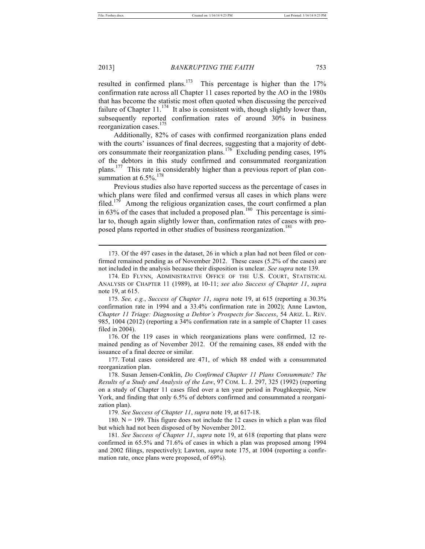2013] *BANKRUPTING THE FAITH* 753

resulted in confirmed plans.<sup>173</sup> This percentage is higher than the  $17\%$ confirmation rate across all Chapter 11 cases reported by the AO in the 1980s that has become the statistic most often quoted when discussing the perceived failure of Chapter  $11$ .<sup>174</sup> It also is consistent with, though slightly lower than, subsequently reported confirmation rates of around 30% in business reorganization cases.<sup>175</sup>

Additionally, 82% of cases with confirmed reorganization plans ended with the courts' issuances of final decrees, suggesting that a majority of debtors consummate their reorganization plans.<sup>176</sup> Excluding pending cases, 19% of the debtors in this study confirmed and consummated reorganization plans.<sup>177</sup> This rate is considerably higher than a previous report of plan consummation at  $6.5\%$ <sup>178</sup>

Previous studies also have reported success as the percentage of cases in which plans were filed and confirmed versus all cases in which plans were filed.<sup>179</sup> Among the religious organization cases, the court confirmed a plan in 63% of the cases that included a proposed plan.<sup>180</sup> This percentage is similar to, though again slightly lower than, confirmation rates of cases with proposed plans reported in other studies of business reorganization.<sup>181</sup>

176. Of the 119 cases in which reorganizations plans were confirmed, 12 remained pending as of November 2012. Of the remaining cases, 88 ended with the issuance of a final decree or similar.

177. Total cases considered are 471, of which 88 ended with a consummated reorganization plan.

178. Susan Jensen-Conklin, *Do Confirmed Chapter 11 Plans Consummate? The Results of a Study and Analysis of the Law*, 97 COM. L. J. 297, 325 (1992) (reporting on a study of Chapter 11 cases filed over a ten year period in Poughkeepsie, New York, and finding that only 6.5% of debtors confirmed and consummated a reorganization plan).

179*. See Success of Chapter 11*, *supra* note 19, at 617-18.

180.  $N = 199$ . This figure does not include the 12 cases in which a plan was filed but which had not been disposed of by November 2012.

181*. See Success of Chapter 11*, *supra* note 19, at 618 (reporting that plans were confirmed in 65.5% and 71.6% of cases in which a plan was proposed among 1994 and 2002 filings, respectively); Lawton, *supra* note 175, at 1004 (reporting a confirmation rate, once plans were proposed, of 69%).

<sup>173.</sup> Of the 497 cases in the dataset, 26 in which a plan had not been filed or confirmed remained pending as of November 2012. These cases (5.2% of the cases) are not included in the analysis because their disposition is unclear. *See supra* note 139.

<sup>174.</sup> ED FLYNN, ADMINISTRATIVE OFFICE OF THE U.S. COURT, STATISTICAL ANALYSIS OF CHAPTER 11 (1989), at 10-11; *see also Success of Chapter 11*, *supra* note 19, at 615.

<sup>175</sup>*. See, e.g.*, *Success of Chapter 11*, *supra* note 19, at 615 (reporting a 30.3% confirmation rate in 1994 and a 33.4% confirmation rate in 2002); Anne Lawton, *Chapter 11 Triage: Diagnosing a Debtor's Prospects for Success*, 54 ARIZ. L. REV. 985, 1004 (2012) (reporting a 34% confirmation rate in a sample of Chapter 11 cases filed in 2004).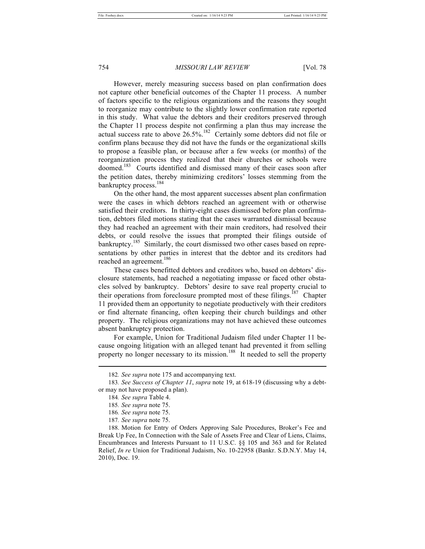However, merely measuring success based on plan confirmation does not capture other beneficial outcomes of the Chapter 11 process. A number of factors specific to the religious organizations and the reasons they sought to reorganize may contribute to the slightly lower confirmation rate reported in this study. What value the debtors and their creditors preserved through the Chapter 11 process despite not confirming a plan thus may increase the actual success rate to above  $26.5\%$ .<sup>182</sup> Certainly some debtors did not file or confirm plans because they did not have the funds or the organizational skills to propose a feasible plan, or because after a few weeks (or months) of the reorganization process they realized that their churches or schools were doomed.<sup>183</sup> Courts identified and dismissed many of their cases soon after the petition dates, thereby minimizing creditors' losses stemming from the bankruptcy process.<sup>184</sup>

On the other hand, the most apparent successes absent plan confirmation were the cases in which debtors reached an agreement with or otherwise satisfied their creditors. In thirty-eight cases dismissed before plan confirmation, debtors filed motions stating that the cases warranted dismissal because they had reached an agreement with their main creditors, had resolved their debts, or could resolve the issues that prompted their filings outside of bankruptcy.<sup>185</sup> Similarly, the court dismissed two other cases based on representations by other parties in interest that the debtor and its creditors had reached an agreement.<sup>186</sup>

These cases benefitted debtors and creditors who, based on debtors' disclosure statements, had reached a negotiating impasse or faced other obstacles solved by bankruptcy. Debtors' desire to save real property crucial to their operations from foreclosure prompted most of these filings.<sup>187</sup> Chapter 11 provided them an opportunity to negotiate productively with their creditors or find alternate financing, often keeping their church buildings and other property. The religious organizations may not have achieved these outcomes absent bankruptcy protection.

For example, Union for Traditional Judaism filed under Chapter 11 because ongoing litigation with an alleged tenant had prevented it from selling property no longer necessary to its mission.<sup>188</sup> It needed to sell the property

<sup>182</sup>*. See supra* note 175 and accompanying text.

<sup>183</sup>*. See Success of Chapter 11*, *supra* note 19, at 618-19 (discussing why a debtor may not have proposed a plan).

<sup>184</sup>*. See supra* Table 4.

<sup>185</sup>*. See supra* note 75.

<sup>186</sup>*. See supra* note 75.

<sup>187</sup>*. See supra* note 75.

<sup>188.</sup> Motion for Entry of Orders Approving Sale Procedures, Broker's Fee and Break Up Fee, In Connection with the Sale of Assets Free and Clear of Liens, Claims, Encumbrances and Interests Pursuant to 11 U.S.C. §§ 105 and 363 and for Related Relief, *In re* Union for Traditional Judaism, No. 10-22958 (Bankr. S.D.N.Y. May 14, 2010), Doc. 19.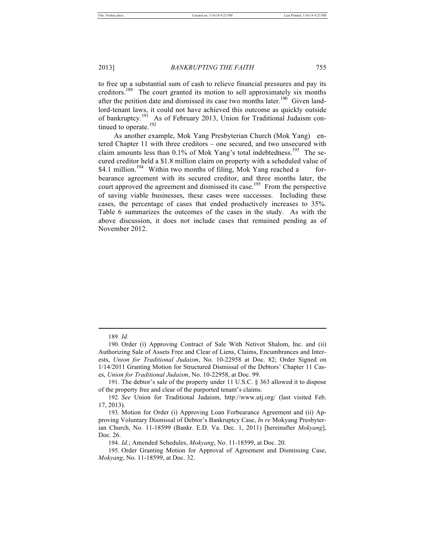to free up a substantial sum of cash to relieve financial pressures and pay its creditors.<sup>189</sup> The court granted its motion to sell approximately six months after the petition date and dismissed its case two months later.<sup>190</sup> Given landlord-tenant laws, it could not have achieved this outcome as quickly outside of bankruptcy.<sup>191</sup> As of February 2013, Union for Traditional Judaism continued to operate. $192$ 

As another example, Mok Yang Presbyterian Church (Mok Yang) entered Chapter 11 with three creditors – one secured, and two unsecured with claim amounts less than 0.1% of Mok Yang's total indebtedness.<sup>193</sup> The secured creditor held a \$1.8 million claim on property with a scheduled value of \$4.1 million.<sup>194</sup> Within two months of filing, Mok Yang reached a forbearance agreement with its secured creditor, and three months later, the court approved the agreement and dismissed its case.<sup>195</sup> From the perspective of saving viable businesses, these cases were successes. Including these cases, the percentage of cases that ended productively increases to 35%. Table 6 summarizes the outcomes of the cases in the study. As with the above discussion, it does not include cases that remained pending as of November 2012.

<sup>189</sup>*. Id.*

<sup>190.</sup> Order (i) Approving Contract of Sale With Netivot Shalom, Inc. and (ii) Authorizing Sale of Assets Free and Clear of Liens, Claims, Encumbrances and Interests, *Union for Traditional Judaism*, No. 10-22958 at Doc. 82; Order Signed on 1/14/2011 Granting Motion for Structured Dismissal of the Debtors' Chapter 11 Cases, *Union for Traditional Judaism*, No. 10-22958, at Doc. 99.

<sup>191.</sup> The debtor's sale of the property under 11 U.S.C. § 363 allowed it to dispose of the property free and clear of the purported tenant's claims.

<sup>192</sup>*. See* Union for Traditional Judaism, http://www.utj.org/ (last visited Feb. 17, 2013).

<sup>193.</sup> Motion for Order (i) Approving Loan Forbearance Agreement and (ii) Approving Voluntary Dismissal of Debtor's Bankruptcy Case, *In re* Mokyang Presbyterian Church, No. 11-18599 (Bankr. E.D. Va. Dec. 1, 2011) [hereinafter *Mokyang*], Doc. 26.

<sup>194</sup>*. Id.*; Amended Schedules, *Mokyang*, No. 11-18599, at Doc. 20.

<sup>195.</sup> Order Granting Motion for Approval of Agreement and Dismissing Case, *Mokyang*, No. 11-18599, at Doc. 32.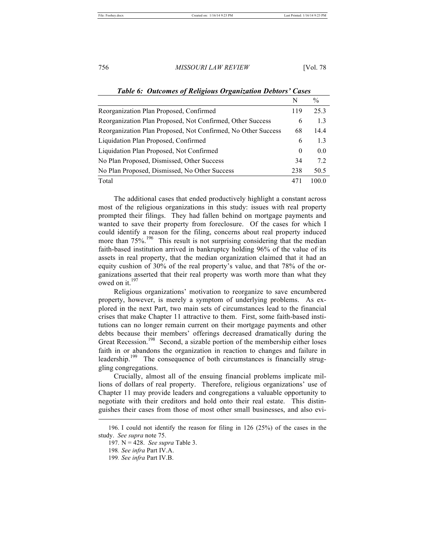|                                                               | N        | $\frac{0}{0}$  |
|---------------------------------------------------------------|----------|----------------|
| Reorganization Plan Proposed, Confirmed                       | 119      | 253            |
| Reorganization Plan Proposed, Not Confirmed, Other Success    | 6        | 1.3            |
| Reorganization Plan Proposed, Not Confirmed, No Other Success | 68       | 14.4           |
| Liquidation Plan Proposed, Confirmed                          | 6        | 1.3            |
| Liquidation Plan Proposed, Not Confirmed                      | $\theta$ | 0 <sub>0</sub> |
| No Plan Proposed, Dismissed, Other Success                    | 34       | 72             |
| No Plan Proposed, Dismissed, No Other Success                 | 238      | 50.5           |
| Total                                                         | 471      | 100.0          |

#### *Table 6: Outcomes of Religious Organization Debtors' Cases*

The additional cases that ended productively highlight a constant across most of the religious organizations in this study: issues with real property prompted their filings. They had fallen behind on mortgage payments and wanted to save their property from foreclosure. Of the cases for which I could identify a reason for the filing, concerns about real property induced more than  $75\%$ .<sup>196</sup> This result is not surprising considering that the median faith-based institution arrived in bankruptcy holding 96% of the value of its assets in real property, that the median organization claimed that it had an equity cushion of 30% of the real property's value, and that 78% of the organizations asserted that their real property was worth more than what they owed on it. $^{197}$ 

Religious organizations' motivation to reorganize to save encumbered property, however, is merely a symptom of underlying problems. As explored in the next Part, two main sets of circumstances lead to the financial crises that make Chapter 11 attractive to them. First, some faith-based institutions can no longer remain current on their mortgage payments and other debts because their members' offerings decreased dramatically during the Great Recession.<sup>198</sup> Second, a sizable portion of the membership either loses faith in or abandons the organization in reaction to changes and failure in leadership.<sup>199</sup> The consequence of both circumstances is financially struggling congregations.

Crucially, almost all of the ensuing financial problems implicate millions of dollars of real property. Therefore, religious organizations' use of Chapter 11 may provide leaders and congregations a valuable opportunity to negotiate with their creditors and hold onto their real estate. This distinguishes their cases from those of most other small businesses, and also evi- ۔<br>ـ

<sup>196.</sup> I could not identify the reason for filing in 126 (25%) of the cases in the study. *See supra* note 75.

<sup>197.</sup> N = 428. *See supra* Table 3.

<sup>198</sup>*. See infra* Part IV.A.

<sup>199</sup>*. See infra* Part IV.B.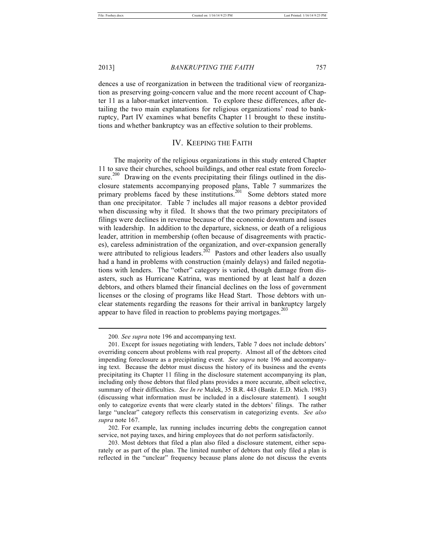2013] *BANKRUPTING THE FAITH* 757

dences a use of reorganization in between the traditional view of reorganization as preserving going-concern value and the more recent account of Chapter 11 as a labor-market intervention. To explore these differences, after detailing the two main explanations for religious organizations' road to bankruptcy, Part IV examines what benefits Chapter 11 brought to these institutions and whether bankruptcy was an effective solution to their problems.

# IV. KEEPING THE FAITH

The majority of the religious organizations in this study entered Chapter 11 to save their churches, school buildings, and other real estate from foreclosure.<sup>200</sup> Drawing on the events precipitating their filings outlined in the disclosure statements accompanying proposed plans, Table 7 summarizes the primary problems faced by these institutions.<sup>201</sup> Some debtors stated more than one precipitator. Table 7 includes all major reasons a debtor provided when discussing why it filed. It shows that the two primary precipitators of filings were declines in revenue because of the economic downturn and issues with leadership. In addition to the departure, sickness, or death of a religious leader, attrition in membership (often because of disagreements with practices), careless administration of the organization, and over-expansion generally were attributed to religious leaders.<sup>202</sup> Pastors and other leaders also usually had a hand in problems with construction (mainly delays) and failed negotiations with lenders. The "other" category is varied, though damage from disasters, such as Hurricane Katrina, was mentioned by at least half a dozen debtors, and others blamed their financial declines on the loss of government licenses or the closing of programs like Head Start. Those debtors with unclear statements regarding the reasons for their arrival in bankruptcy largely appear to have filed in reaction to problems paying mortgages. $^{203}$ 

<sup>200</sup>*. See supra* note 196 and accompanying text.

<sup>201.</sup> Except for issues negotiating with lenders, Table 7 does not include debtors' overriding concern about problems with real property. Almost all of the debtors cited impending foreclosure as a precipitating event. *See supra* note 196 and accompanying text. Because the debtor must discuss the history of its business and the events precipitating its Chapter 11 filing in the disclosure statement accompanying its plan, including only those debtors that filed plans provides a more accurate, albeit selective, summary of their difficulties. *See In re* Malek, 35 B.R. 443 (Bankr. E.D. Mich. 1983) (discussing what information must be included in a disclosure statement). I sought only to categorize events that were clearly stated in the debtors' filings. The rather large "unclear" category reflects this conservatism in categorizing events. *See also supra* note 167.

<sup>202.</sup> For example, lax running includes incurring debts the congregation cannot service, not paying taxes, and hiring employees that do not perform satisfactorily.

<sup>203.</sup> Most debtors that filed a plan also filed a disclosure statement, either separately or as part of the plan. The limited number of debtors that only filed a plan is reflected in the "unclear" frequency because plans alone do not discuss the events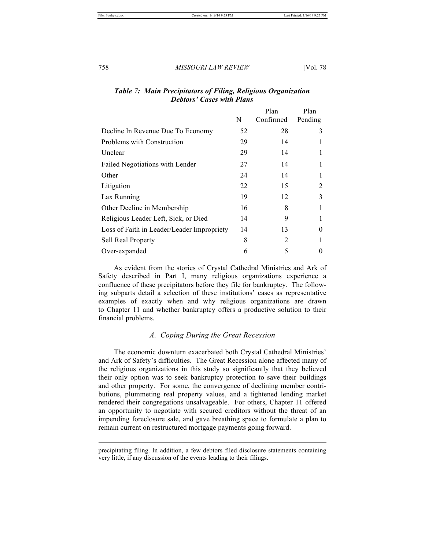|                                            | N  | Plan<br>Confirmed | Plan<br>Pending |
|--------------------------------------------|----|-------------------|-----------------|
| Decline In Revenue Due To Economy          | 52 | 28                | 3               |
| Problems with Construction                 | 29 | 14                |                 |
| Unclear                                    | 29 | 14                |                 |
| Failed Negotiations with Lender            | 27 | 14                |                 |
| Other                                      | 24 | 14                |                 |
| Litigation                                 | 22 | 15                |                 |
| Lax Running                                | 19 | 12                | 3               |
| Other Decline in Membership                | 16 | 8                 |                 |
| Religious Leader Left, Sick, or Died       | 14 | 9                 |                 |
| Loss of Faith in Leader/Leader Impropriety | 14 | 13                | $\Omega$        |
| <b>Sell Real Property</b>                  | 8  | $\mathfrak{D}$    |                 |
| Over-expanded                              | 6  | 5                 |                 |

# *Table 7: Main Precipitators of Filing, Religious Organization Debtors' Cases with Plans*

As evident from the stories of Crystal Cathedral Ministries and Ark of Safety described in Part I, many religious organizations experience a confluence of these precipitators before they file for bankruptcy. The following subparts detail a selection of these institutions' cases as representative examples of exactly when and why religious organizations are drawn to Chapter 11 and whether bankruptcy offers a productive solution to their financial problems.

# *A. Coping During the Great Recession*

The economic downturn exacerbated both Crystal Cathedral Ministries' and Ark of Safety's difficulties. The Great Recession alone affected many of the religious organizations in this study so significantly that they believed their only option was to seek bankruptcy protection to save their buildings and other property. For some, the convergence of declining member contributions, plummeting real property values, and a tightened lending market rendered their congregations unsalvageable. For others, Chapter 11 offered an opportunity to negotiate with secured creditors without the threat of an impending foreclosure sale, and gave breathing space to formulate a plan to remain current on restructured mortgage payments going forward.

precipitating filing. In addition, a few debtors filed disclosure statements containing very little, if any discussion of the events leading to their filings.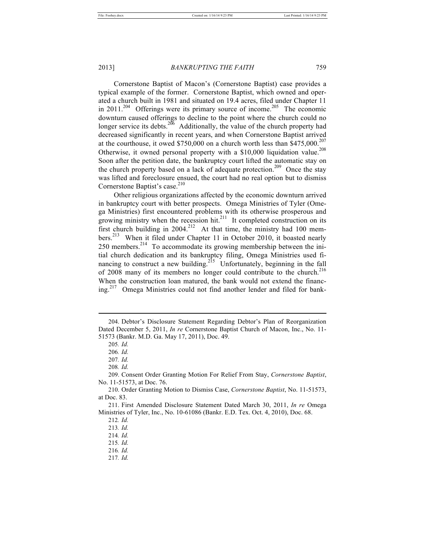Cornerstone Baptist of Macon's (Cornerstone Baptist) case provides a typical example of the former. Cornerstone Baptist, which owned and operated a church built in 1981 and situated on 19.4 acres, filed under Chapter 11 in 2011.<sup>204</sup> Offerings were its primary source of income.<sup>205</sup> The economic downturn caused offerings to decline to the point where the church could no longer service its debts.<sup>206</sup> Additionally, the value of the church property had decreased significantly in recent years, and when Cornerstone Baptist arrived at the courthouse, it owed \$750,000 on a church worth less than  $$475,000$ .<sup>207</sup> Otherwise, it owned personal property with a  $$10,000$  liquidation value.<sup>208</sup> Soon after the petition date, the bankruptcy court lifted the automatic stay on the church property based on a lack of adequate protection.<sup>209</sup> Once the stay was lifted and foreclosure ensued, the court had no real option but to dismiss Cornerstone Baptist's case.<sup>210</sup>

Other religious organizations affected by the economic downturn arrived in bankruptcy court with better prospects. Omega Ministries of Tyler (Omega Ministries) first encountered problems with its otherwise prosperous and growing ministry when the recession hit.<sup>211</sup> It completed construction on its first church building in  $2004$ <sup>212</sup> At that time, the ministry had 100 members.<sup>213</sup> When it filed under Chapter 11 in October 2010, it boasted nearly 250 members.<sup>214</sup> To accommodate its growing membership between the initial church dedication and its bankruptcy filing, Omega Ministries used financing to construct a new building.<sup>215</sup> Unfortunately, beginning in the fall of 2008 many of its members no longer could contribute to the church.<sup>216</sup> When the construction loan matured, the bank would not extend the financing.<sup>217</sup> Omega Ministries could not find another lender and filed for bank-

<sup>204.</sup> Debtor's Disclosure Statement Regarding Debtor's Plan of Reorganization Dated December 5, 2011, *In re* Cornerstone Baptist Church of Macon, Inc., No. 11- 51573 (Bankr. M.D. Ga. May 17, 2011), Doc. 49.

<sup>205</sup>*. Id.*

<sup>206</sup>*. Id.*

<sup>207</sup>*. Id.*

<sup>208</sup>*. Id.*

<sup>209.</sup> Consent Order Granting Motion For Relief From Stay, *Cornerstone Baptist*, No. 11-51573, at Doc. 76.

<sup>210.</sup> Order Granting Motion to Dismiss Case, *Cornerstone Baptist*, No. 11-51573, at Doc. 83.

<sup>211.</sup> First Amended Disclosure Statement Dated March 30, 2011, *In re* Omega Ministries of Tyler, Inc., No. 10-61086 (Bankr. E.D. Tex. Oct. 4, 2010), Doc. 68.

<sup>212</sup>*. Id.*

<sup>213</sup>*. Id.*

<sup>214</sup>*. Id.*

<sup>215</sup>*. Id.* 216*. Id.*

<sup>217</sup>*. Id.*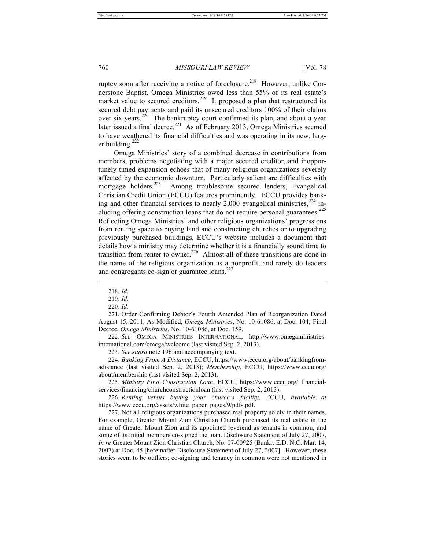ruptcy soon after receiving a notice of foreclosure.<sup>218</sup> However, unlike Cornerstone Baptist, Omega Ministries owed less than 55% of its real estate's market value to secured creditors.<sup>219</sup> It proposed a plan that restructured its secured debt payments and paid its unsecured creditors 100% of their claims over six years.<sup>220</sup> The bankruptcy court confirmed its plan, and about a year later issued a final decree.<sup>221</sup> As of February 2013, Omega Ministries seemed to have weathered its financial difficulties and was operating in its new, larger building. $^{222}$ 

Omega Ministries' story of a combined decrease in contributions from members, problems negotiating with a major secured creditor, and inopportunely timed expansion echoes that of many religious organizations severely affected by the economic downturn. Particularly salient are difficulties with mortgage holders. $^{223}$  Among troublesome secured lenders, Evangelical Christian Credit Union (ECCU) features prominently. ECCU provides banking and other financial services to nearly  $2,000$  evangelical ministries,  $224$  including offering construction loans that do not require personal guarantees.<sup>225</sup> Reflecting Omega Ministries' and other religious organizations' progressions from renting space to buying land and constructing churches or to upgrading previously purchased buildings, ECCU's website includes a document that details how a ministry may determine whether it is a financially sound time to transition from renter to owner.<sup>226</sup> Almost all of these transitions are done in the name of the religious organization as a nonprofit, and rarely do leaders and congregants co-sign or guarantee loans.<sup>227</sup>

l

222*. See* OMEGA MINISTRIES INTERNATIONAL, http://www.omegaministriesinternational.com/omega/welcome (last visited Sep. 2, 2013).

223*. See supra* note 196 and accompanying text.

224*. Banking From A Distance*, ECCU, https://www.eccu.org/about/bankingfromadistance (last visited Sep. 2, 2013); *Membership*, ECCU, https://www.eccu.org/ about/membership (last visited Sep. 2, 2013).

225*. Ministry First Construction Loan*, ECCU, https://www.eccu.org/ financialservices/financing/churchconstructionloan (last visited Sep. 2, 2013).

226*. Renting versus buying your church's facility*, ECCU, *available at*  https://www.eccu.org/assets/white\_paper\_pages/9/pdfs.pdf.

227. Not all religious organizations purchased real property solely in their names. For example, Greater Mount Zion Christian Church purchased its real estate in the name of Greater Mount Zion and its appointed reverend as tenants in common, and some of its initial members co-signed the loan. Disclosure Statement of July 27, 2007, *In re* Greater Mount Zion Christian Church, No. 07-00925 (Bankr. E.D. N.C. Mar. 14, 2007) at Doc. 45 [hereinafter Disclosure Statement of July 27, 2007]. However, these stories seem to be outliers; co-signing and tenancy in common were not mentioned in

<sup>218</sup>*. Id.*

<sup>219</sup>*. Id.* 220*. Id.*

<sup>221.</sup> Order Confirming Debtor's Fourth Amended Plan of Reorganization Dated August 15, 2011, As Modified, *Omega Ministries*, No. 10-61086, at Doc. 104; Final Decree, *Omega Ministries*, No. 10-61086, at Doc. 159.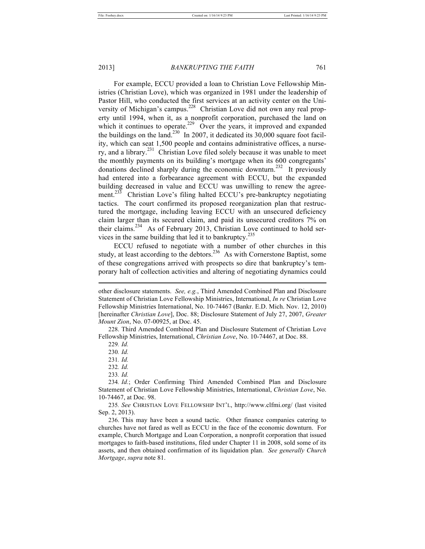For example, ECCU provided a loan to Christian Love Fellowship Ministries (Christian Love), which was organized in 1981 under the leadership of Pastor Hill, who conducted the first services at an activity center on the University of Michigan's campus.<sup>228</sup> Christian Love did not own any real property until 1994, when it, as a nonprofit corporation, purchased the land on which it continues to operate.<sup>229</sup> Over the years, it improved and expanded the buildings on the land.<sup>230</sup> In 2007, it dedicated its 30,000 square foot facility, which can seat 1,500 people and contains administrative offices, a nursery, and a library.<sup>231</sup> Christian Love filed solely because it was unable to meet the monthly payments on its building's mortgage when its 600 congregants' donations declined sharply during the economic downturn.<sup>232</sup> It previously had entered into a forbearance agreement with ECCU, but the expanded building decreased in value and ECCU was unwilling to renew the agreement.<sup>233</sup> Christian Love's filing halted ECCU's pre-bankruptcy negotiating tactics. The court confirmed its proposed reorganization plan that restructured the mortgage, including leaving ECCU with an unsecured deficiency claim larger than its secured claim, and paid its unsecured creditors 7% on their claims.<sup>234</sup> As of February 2013, Christian Love continued to hold services in the same building that led it to bankruptcy.<sup>235</sup>

ECCU refused to negotiate with a number of other churches in this study, at least according to the debtors.<sup>236</sup> As with Cornerstone Baptist, some of these congregations arrived with prospects so dire that bankruptcy's temporary halt of collection activities and altering of negotiating dynamics could

other disclosure statements. *See, e.g.*, Third Amended Combined Plan and Disclosure Statement of Christian Love Fellowship Ministries, International, *In re* Christian Love Fellowship Ministries International, No. 10-74467 (Bankr. E.D. Mich. Nov. 12, 2010) [hereinafter *Christian Love*], Doc. 88; Disclosure Statement of July 27, 2007, *Greater Mount Zion*, No. 07-00925, at Doc. 45.

<sup>228.</sup> Third Amended Combined Plan and Disclosure Statement of Christian Love Fellowship Ministries, International, *Christian Love*, No. 10-74467, at Doc. 88.

<sup>229</sup>*. Id.*

<sup>230</sup>*. Id.*

<sup>231</sup>*. Id.*

<sup>232</sup>*. Id.*

<sup>233</sup>*. Id.*

<sup>234</sup>*. Id.*; Order Confirming Third Amended Combined Plan and Disclosure Statement of Christian Love Fellowship Ministries, International, *Christian Love*, No. 10-74467, at Doc. 98.

<sup>235</sup>*. See* CHRISTIAN LOVE FELLOWSHIP INT'L, http://www.clfmi.org/ (last visited Sep. 2, 2013).

<sup>236.</sup> This may have been a sound tactic. Other finance companies catering to churches have not fared as well as ECCU in the face of the economic downturn. For example, Church Mortgage and Loan Corporation, a nonprofit corporation that issued mortgages to faith-based institutions, filed under Chapter 11 in 2008, sold some of its assets, and then obtained confirmation of its liquidation plan. *See generally Church Mortgage*, *supra* note 81.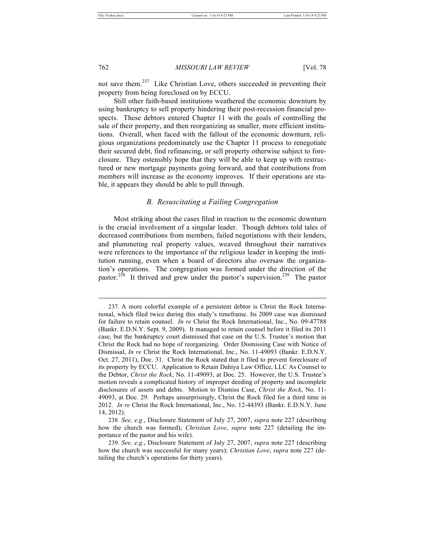762 *MISSOURI LAW REVIEW* [Vol. 78

not save them.<sup>237</sup> Like Christian Love, others succeeded in preventing their property from being foreclosed on by ECCU.

Still other faith-based institutions weathered the economic downturn by using bankruptcy to sell property hindering their post-recession financial prospects. These debtors entered Chapter 11 with the goals of controlling the sale of their property, and then reorganizing as smaller, more efficient institutions. Overall, when faced with the fallout of the economic downturn, religious organizations predominately use the Chapter 11 process to renegotiate their secured debt, find refinancing, or sell property otherwise subject to foreclosure. They ostensibly hope that they will be able to keep up with restructured or new mortgage payments going forward, and that contributions from members will increase as the economy improves. If their operations are stable, it appears they should be able to pull through.

# *B. Resuscitating a Failing Congregation*

Most striking about the cases filed in reaction to the economic downturn is the crucial involvement of a singular leader. Though debtors told tales of decreased contributions from members, failed negotiations with their lenders, and plummeting real property values, weaved throughout their narratives were references to the importance of the religious leader in keeping the institution running, even when a board of directors also oversaw the organization's operations. The congregation was formed under the direction of the pastor.<sup>238</sup> It thrived and grew under the pastor's supervision.<sup>239</sup> The pastor

<sup>237.</sup> A more colorful example of a persistent debtor is Christ the Rock International, which filed twice during this study's timeframe. Its 2009 case was dismissed for failure to retain counsel. *In re* Christ the Rock International, Inc., No. 09-47788 (Bankr. E.D.N.Y. Sept. 9, 2009). It managed to retain counsel before it filed its 2011 case, but the bankruptcy court dismissed that case on the U.S. Trustee's motion that Christ the Rock had no hope of reorganizing. Order Dismissing Case with Notice of Dismissal, *In re* Christ the Rock International, Inc., No. 11-49093 (Bankr. E.D.N.Y. Oct. 27, 2011), Doc. 31. Christ the Rock stated that it filed to prevent foreclosure of its property by ECCU. Application to Retain Dahiya Law Office, LLC As Counsel to the Debtor, *Christ the Rock*, No. 11-49093, at Doc. 25. However, the U.S. Trustee's motion reveals a complicated history of improper deeding of property and incomplete disclosures of assets and debts. Motion to Dismiss Case, *Christ the Rock*, No. 11- 49093, at Doc. 29. Perhaps unsurprisingly, Christ the Rock filed for a third time in 2012. *In re* Christ the Rock International, Inc., No. 12-44393 (Bankr. E.D.N.Y. June 14, 2012).

<sup>238</sup>*. See, e.g.*, Disclosure Statement of July 27, 2007, *supra* note 227 (describing how the church was formed); *Christian Love*, *supra* note 227 (detailing the importance of the pastor and his wife).

<sup>239</sup>*. See, e.g.*, Disclosure Statement of July 27, 2007, *supra* note 227 (describing how the church was successful for many years); *Christian Love*, *supra* note 227 (detailing the church's operations for thirty years).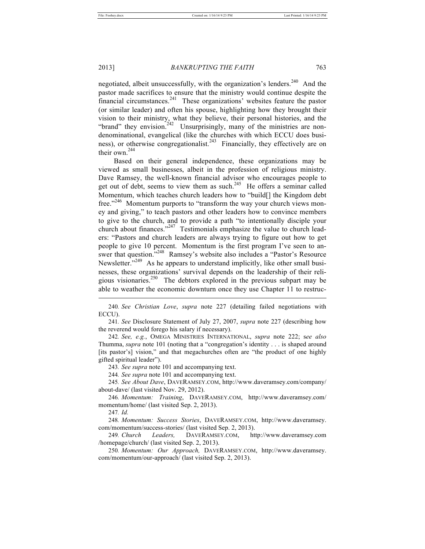negotiated, albeit unsuccessfully, with the organization's lenders.<sup>240</sup> And the pastor made sacrifices to ensure that the ministry would continue despite the financial circumstances. $241$  These organizations' websites feature the pastor (or similar leader) and often his spouse, highlighting how they brought their vision to their ministry, what they believe, their personal histories, and the "brand" they envision.<sup>242</sup> Unsurprisingly, many of the ministries are nondenominational, evangelical (like the churches with which ECCU does business), or otherwise congregationalist.<sup>243</sup> Financially, they effectively are on their own.<sup>244</sup>

Based on their general independence, these organizations may be viewed as small businesses, albeit in the profession of religious ministry. Dave Ramsey, the well-known financial advisor who encourages people to get out of debt, seems to view them as such.<sup>245</sup> He offers a seminar called Momentum, which teaches church leaders how to "build[] the Kingdom debt free."<sup>246</sup> Momentum purports to "transform the way your church views money and giving," to teach pastors and other leaders how to convince members to give to the church, and to provide a path "to intentionally disciple your church about finances."<sup>247</sup> Testimonials emphasize the value to church leaders: "Pastors and church leaders are always trying to figure out how to get people to give 10 percent. Momentum is the first program I've seen to answer that question."<sup>248</sup> Ramsey's website also includes a "Pastor's Resource Newsletter."<sup>249</sup> As he appears to understand implicitly, like other small businesses, these organizations' survival depends on the leadership of their religious visionaries.<sup>250</sup> The debtors explored in the previous subpart may be able to weather the economic downturn once they use Chapter 11 to restruc l

240*. See Christian Love*, *supra* note 227 (detailing failed negotiations with ECCU).

241*. See* Disclosure Statement of July 27, 2007, *supra* note 227 (describing how the reverend would forego his salary if necessary).

242*. See, e.g.*, OMEGA MINISTRIES INTERNATIONAL, *supra* note 222; s*ee also*  Thumma, *supra* note 101 (noting that a "congregation's identity . . . is shaped around [its pastor's] vision," and that megachurches often are "the product of one highly gifted spiritual leader").

243*. See supra* note 101 and accompanying text.

244*. See supra* note 101 and accompanying text.

245*. See About Dave*, DAVERAMSEY.COM, http://www.daveramsey.com/company/ about-dave/ (last visited Nov. 29, 2012).

246*. Momentum: Training*, DAVERAMSEY.COM, http://www.daveramsey.com/ momentum/home/ (last visited Sep. 2, 2013).

247*. Id.*

248*. Momentum: Success Stories*, DAVERAMSEY.COM, http://www.daveramsey. com/momentum/success-stories/ (last visited Sep. 2, 2013).

249*. Church Leaders,* DAVERAMSEY.COM, http://www.daveramsey.com /homepage/church/ (last visited Sep. 2, 2013).

250*. Momentum: Our Approach,* DAVERAMSEY.COM, http://www.daveramsey. com/momentum/our-approach/ (last visited Sep. 2, 2013).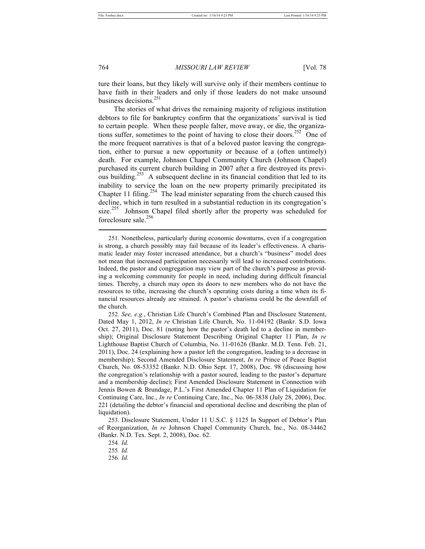764 *MISSOURI LAW REVIEW* [Vol. 78

ture their loans, but they likely will survive only if their members continue to have faith in their leaders and only if those leaders do not make unsound business decisions.<sup>251</sup>

The stories of what drives the remaining majority of religious institution debtors to file for bankruptcy confirm that the organizations' survival is tied to certain people. When these people falter, move away, or die, the organizations suffer, sometimes to the point of having to close their doors.<sup>252</sup> One of the more frequent narratives is that of a beloved pastor leaving the congregation, either to pursue a new opportunity or because of a (often untimely) death. For example, Johnson Chapel Community Church (Johnson Chapel) purchased its current church building in 2007 after a fire destroyed its previous building.<sup>253</sup> A subsequent decline in its financial condition that led to its inability to service the loan on the new property primarily precipitated its Chapter 11 filing.<sup>254</sup> The lead minister separating from the church caused this decline, which in turn resulted in a substantial reduction in its congregation's size.<sup>255</sup> Johnson Chapel filed shortly after the property was scheduled for foreclosure sale.<sup>256</sup>

255*. Id.*

<sup>251.</sup> Nonetheless, particularly during economic downturns, even if a congregation is strong, a church possibly may fail because of its leader's effectiveness. A charismatic leader may foster increased attendance, but a church's "business" model does not mean that increased participation necessarily will lead to increased contributions. Indeed, the pastor and congregation may view part of the church's purpose as providing a welcoming community for people in need, including during difficult financial times. Thereby, a church may open its doors to new members who do not have the resources to tithe, increasing the church's operating costs during a time when its financial resources already are strained. A pastor's charisma could be the downfall of the church.

<sup>252</sup>*. See, e.g.*, Christian Life Church's Combined Plan and Disclosure Statement, Dated May 1, 2012, *In re* Christian Life Church, No. 11-04192 (Bankr. S.D. Iowa Oct. 27, 2011), Doc. 81 (noting how the pastor's death led to a decline in membership); Original Disclosure Statement Describing Original Chapter 11 Plan, *In re*  Lighthouse Baptist Church of Columbia, No. 11-01626 (Bankr. M.D. Tenn. Feb. 21, 2011), Doc. 24 (explaining how a pastor left the congregation, leading to a decrease in membership); Second Amended Disclosure Statement, *In re* Prince of Peace Baptist Church, No. 08-53352 (Bankr. N.D. Ohio Sept. 17, 2008), Doc. 98 (discussing how the congregation's relationship with a pastor soured, leading to the pastor's departure and a membership decline); First Amended Disclosure Statement in Connection with Jennis Bowen & Brundage, P.L.'s First Amended Chapter 11 Plan of Liquidation for Continuing Care, Inc., *In re* Continuing Care, Inc., No. 06-3838 (July 28, 2006), Doc. 221 (detailing the debtor's financial and operational decline and describing the plan of liquidation).

<sup>253.</sup> Disclosure Statement, Under 11 U.S.C. § 1125 In Support of Debtor's Plan of Reorganization, *In re* Johnson Chapel Community Church, Inc., No. 08-34462 (Bankr. N.D. Tex. Sept. 2, 2008), Doc. 62.

<sup>254</sup>*. Id.*

<sup>256</sup>*. Id.*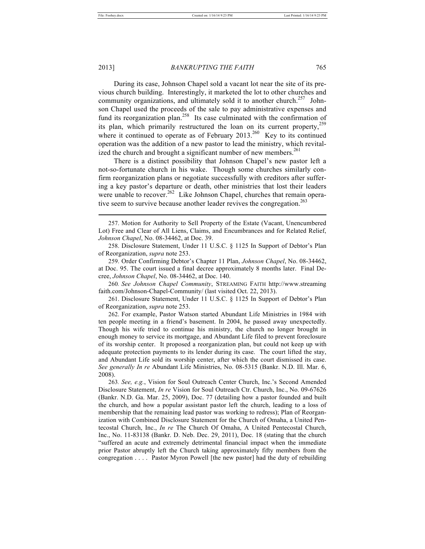#### 2013] *BANKRUPTING THE FAITH* 765

During its case, Johnson Chapel sold a vacant lot near the site of its previous church building. Interestingly, it marketed the lot to other churches and community organizations, and ultimately sold it to another church.<sup>257</sup> Johnson Chapel used the proceeds of the sale to pay administrative expenses and fund its reorganization plan.<sup>258</sup> Its case culminated with the confirmation of its plan, which primarily restructured the loan on its current property,  $259$ where it continued to operate as of February 2013.<sup>260</sup> Key to its continued operation was the addition of a new pastor to lead the ministry, which revitalized the church and brought a significant number of new members.<sup>261</sup>

There is a distinct possibility that Johnson Chapel's new pastor left a not-so-fortunate church in his wake. Though some churches similarly confirm reorganization plans or negotiate successfully with creditors after suffering a key pastor's departure or death, other ministries that lost their leaders were unable to recover.<sup>262</sup> Like Johnson Chapel, churches that remain operative seem to survive because another leader revives the congregation.<sup>263</sup>

260*. See Johnson Chapel Community*, STREAMING FAITH http://www.streaming faith.com/Johnson-Chapel-Community/ (last visited Oct. 22, 2013).

261. Disclosure Statement, Under 11 U.S.C. § 1125 In Support of Debtor's Plan of Reorganization, *supra* note 253.

262. For example, Pastor Watson started Abundant Life Ministries in 1984 with ten people meeting in a friend's basement. In 2004, he passed away unexpectedly. Though his wife tried to continue his ministry, the church no longer brought in enough money to service its mortgage, and Abundant Life filed to prevent foreclosure of its worship center. It proposed a reorganization plan, but could not keep up with adequate protection payments to its lender during its case. The court lifted the stay, and Abundant Life sold its worship center, after which the court dismissed its case. *See generally In re* Abundant Life Ministries, No. 08-5315 (Bankr. N.D. Ill. Mar. 6, 2008).

<sup>257.</sup> Motion for Authority to Sell Property of the Estate (Vacant, Unencumbered Lot) Free and Clear of All Liens, Claims, and Encumbrances and for Related Relief, *Johnson Chapel*, No. 08-34462, at Doc. 39.

<sup>258.</sup> Disclosure Statement, Under 11 U.S.C. § 1125 In Support of Debtor's Plan of Reorganization, *supra* note 253.

<sup>259.</sup> Order Confirming Debtor's Chapter 11 Plan, *Johnson Chapel*, No. 08-34462, at Doc. 95. The court issued a final decree approximately 8 months later. Final Decree, *Johnson Chapel*, No. 08-34462, at Doc. 140.

<sup>263</sup>*. See, e.g.*, Vision for Soul Outreach Center Church, Inc.'s Second Amended Disclosure Statement, *In re* Vision for Soul Outreach Ctr. Church, Inc., No. 09-67626 (Bankr. N.D. Ga. Mar. 25, 2009), Doc. 77 (detailing how a pastor founded and built the church, and how a popular assistant pastor left the church, leading to a loss of membership that the remaining lead pastor was working to redress); Plan of Reorganization with Combined Disclosure Statement for the Church of Omaha, a United Pentecostal Church, Inc., *In re* The Church Of Omaha, A United Pentecostal Church, Inc., No. 11-83138 (Bankr. D. Neb. Dec. 29, 2011), Doc. 18 (stating that the church "suffered an acute and extremely detrimental financial impact when the immediate prior Pastor abruptly left the Church taking approximately fifty members from the congregation . . . . Pastor Myron Powell [the new pastor] had the duty of rebuilding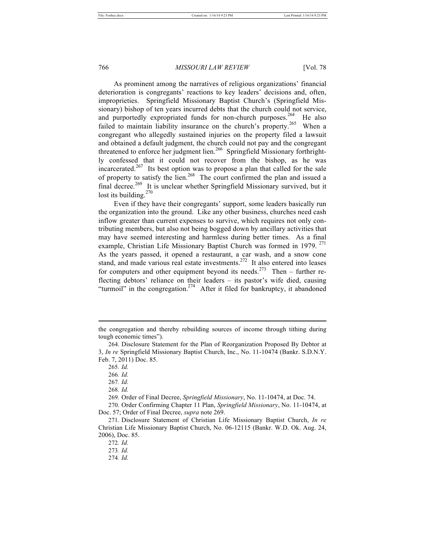As prominent among the narratives of religious organizations' financial deterioration is congregants' reactions to key leaders' decisions and, often, improprieties. Springfield Missionary Baptist Church's (Springfield Missionary) bishop of ten years incurred debts that the church could not service, and purportedly expropriated funds for non-church purposes.<sup>264</sup> He also failed to maintain liability insurance on the church's property.<sup>265</sup> When a congregant who allegedly sustained injuries on the property filed a lawsuit and obtained a default judgment, the church could not pay and the congregant threatened to enforce her judgment lien.<sup>266</sup> Springfield Missionary forthrightly confessed that it could not recover from the bishop, as he was incarcerated.<sup>267</sup> Its best option was to propose a plan that called for the sale of property to satisfy the lien.<sup>268</sup> The court confirmed the plan and issued a final decree.<sup>269</sup> It is unclear whether Springfield Missionary survived, but it lost its building.<sup>270</sup>

Even if they have their congregants' support, some leaders basically run the organization into the ground. Like any other business, churches need cash inflow greater than current expenses to survive, which requires not only contributing members, but also not being bogged down by ancillary activities that may have seemed interesting and harmless during better times. As a final example, Christian Life Missionary Baptist Church was formed in 1979.<sup>271</sup> As the years passed, it opened a restaurant, a car wash, and a snow cone stand, and made various real estate investments. $^{272}$  It also entered into leases for computers and other equipment beyond its needs.<sup>273</sup> Then – further reflecting debtors' reliance on their leaders – its pastor's wife died, causing "turmoil" in the congregation.<sup>274</sup> After it filed for bankruptcy, it abandoned

l

270. Order Confirming Chapter 11 Plan, *Springfield Missionary*, No. 11-10474, at Doc. 57; Order of Final Decree, *supra* note 269.

the congregation and thereby rebuilding sources of income through tithing during tough economic times").

<sup>264.</sup> Disclosure Statement for the Plan of Reorganization Proposed By Debtor at 3, *In re* Springfield Missionary Baptist Church, Inc., No. 11-10474 (Bankr. S.D.N.Y. Feb. 7, 2011) Doc. 85.

<sup>265</sup>*. Id.*

<sup>266</sup>*. Id.*

<sup>267</sup>*. Id.*

<sup>268</sup>*. Id.*

<sup>269.</sup> Order of Final Decree, *Springfield Missionary*, No. 11-10474, at Doc. 74.

<sup>271.</sup> Disclosure Statement of Christian Life Missionary Baptist Church, *In re* Christian Life Missionary Baptist Church, No. 06-12115 (Bankr. W.D. Ok. Aug. 24, 2006), Doc. 85.

<sup>272</sup>*. Id.*

<sup>273</sup>*. Id.*

<sup>274</sup>*. Id.*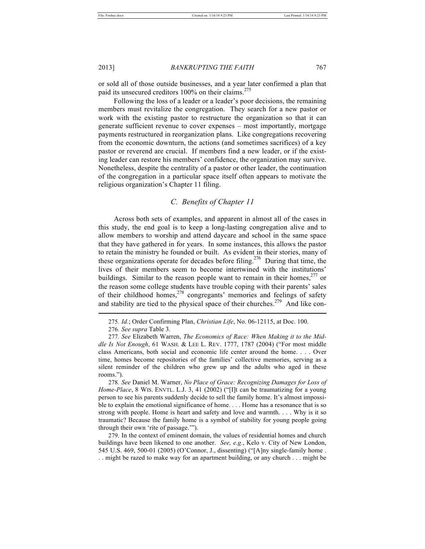or sold all of those outside businesses, and a year later confirmed a plan that paid its unsecured creditors 100% on their claims.<sup>275</sup>

Following the loss of a leader or a leader's poor decisions, the remaining members must revitalize the congregation. They search for a new pastor or work with the existing pastor to restructure the organization so that it can generate sufficient revenue to cover expenses – most importantly, mortgage payments restructured in reorganization plans. Like congregations recovering from the economic downturn, the actions (and sometimes sacrifices) of a key pastor or reverend are crucial. If members find a new leader, or if the existing leader can restore his members' confidence, the organization may survive. Nonetheless, despite the centrality of a pastor or other leader, the continuation of the congregation in a particular space itself often appears to motivate the religious organization's Chapter 11 filing.

# *C. Benefits of Chapter 11*

Across both sets of examples, and apparent in almost all of the cases in this study, the end goal is to keep a long-lasting congregation alive and to allow members to worship and attend daycare and school in the same space that they have gathered in for years. In some instances, this allows the pastor to retain the ministry he founded or built. As evident in their stories, many of these organizations operate for decades before filing.<sup>276</sup> During that time, the lives of their members seem to become intertwined with the institutions' buildings. Similar to the reason people want to remain in their homes,  $277$  or the reason some college students have trouble coping with their parents' sales of their childhood homes, $2^{78}$  congregants' memories and feelings of safety and stability are tied to the physical space of their churches.<sup>279</sup> And like conl

279. In the context of eminent domain, the values of residential homes and church buildings have been likened to one another. *See, e.g.*, Kelo v. City of New London, 545 U.S. 469, 500-01 (2005) (O'Connor, J., dissenting) ("[A]ny single-family home . . . might be razed to make way for an apartment building, or any church . . . might be

<sup>275</sup>*. Id.*; Order Confirming Plan, *Christian Life*, No. 06-12115, at Doc. 100.

<sup>276</sup>*. See supra* Table 3.

<sup>277</sup>*. See* Elizabeth Warren, *The Economics of Race: When Making it to the Middle Is Not Enough*, 61 WASH. & LEE L. REV. 1777, 1787 (2004) ("For most middle class Americans, both social and economic life center around the home. . . . Over time, homes become repositories of the families' collective memories, serving as a silent reminder of the children who grew up and the adults who aged in these rooms.").

<sup>278</sup>*. See* Daniel M. Warner, *No Place of Grace: Recognizing Damages for Loss of Home-Place*, 8 WIS. ENVTL. L.J. 3, 41 (2002) ("[I]t can be traumatizing for a young person to see his parents suddenly decide to sell the family home. It's almost impossible to explain the emotional significance of home. . . . Home has a resonance that is so strong with people. Home is heart and safety and love and warmth. . . . Why is it so traumatic? Because the family home is a symbol of stability for young people going through their own 'rite of passage.'").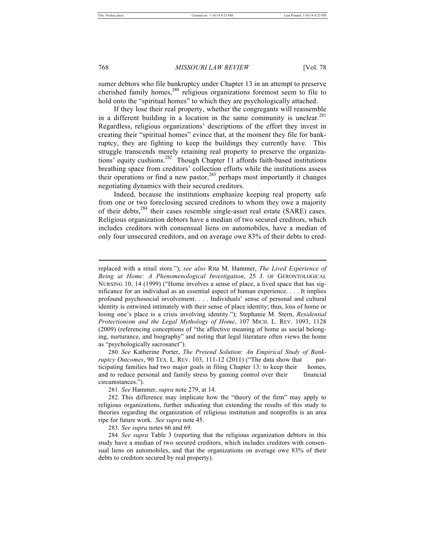sumer debtors who file bankruptcy under Chapter 13 in an attempt to preserve cherished family homes, $280$  religious organizations foremost seem to file to hold onto the "spiritual homes" to which they are psychologically attached.

If they lose their real property, whether the congregants will reassemble in a different building in a location in the same community is unclear. $281$ Regardless, religious organizations' descriptions of the effort they invest in creating their "spiritual homes" evince that, at the moment they file for bankruptcy, they are fighting to keep the buildings they currently have. This struggle transcends merely retaining real property to preserve the organizations' equity cushions.<sup>282</sup> Though Chapter 11 affords faith-based institutions breathing space from creditors' collection efforts while the institutions assess their operations or find a new pastor, $283$  perhaps most importantly it changes negotiating dynamics with their secured creditors.

Indeed, because the institutions emphasize keeping real property safe from one or two foreclosing secured creditors to whom they owe a majority of their debts,<sup>284</sup> their cases resemble single-asset real estate (SARE) cases. Religious organization debtors have a median of two secured creditors, which includes creditors with consensual liens on automobiles, have a median of only four unsecured creditors, and on average owe 83% of their debts to cred-

280*. See* Katherine Porter, *The Pretend Solution: An Empirical Study of Bankruptcy Outcomes*, 90 TEX. L. REV. 103, 111-12 (2011) ("The data show that participating families had two major goals in filing Chapter 13: to keep their homes, and to reduce personal and family stress by gaining control over their financial circumstances.").

283*. See supra* notes 66 and 69.

284*. See supra* Table 3 (reporting that the religious organization debtors in this study have a median of two secured creditors, which includes creditors with consensual liens on automobiles, and that the organizations on average owe 83% of their debts to creditors secured by real property).

replaced with a retail store."); *see also* Rita M. Hammer, *The Lived Experience of Being at Home: A Phenomenological Investigation*, 25 J. OF GERONTOLOGICAL NURSING 10, 14 (1999) ("Home involves a sense of place, a lived space that has significance for an individual as an essential aspect of human experience. . . . It implies profound psychosocial involvement. . . . Individuals' sense of personal and cultural identity is entwined intimately with their sense of place identity; thus, loss of home or losing one's place is a crisis involving identity."); Stephanie M. Stern, *Residential Protectionism and the Legal Mythology of Home*, 107 MICH. L. REV. 1093, 1128 (2009) (referencing conceptions of "the affective meaning of home as social belonging, nurturance, and biography" and noting that legal literature often views the home as "psychologically sacrosanct").

<sup>281</sup>*. See* Hammer, *supra* note 279, at 14.

<sup>282.</sup> This difference may implicate how the "theory of the firm" may apply to religious organizations, further indicating that extending the results of this study to theories regarding the organization of religious institution and nonprofits is an area ripe for future work. *See supra* note 45.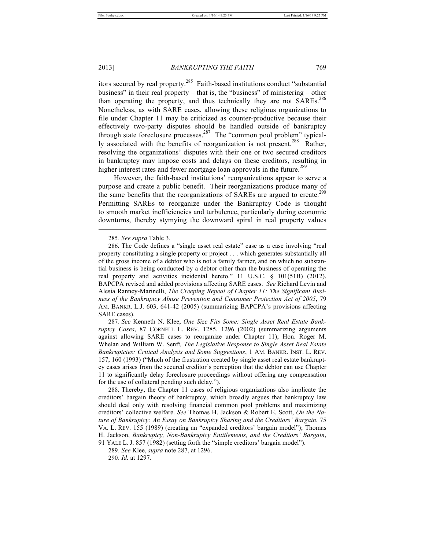itors secured by real property.<sup>285</sup> Faith-based institutions conduct "substantial business" in their real property – that is, the "business" of ministering – other than operating the property, and thus technically they are not SAREs.<sup>286</sup> Nonetheless, as with SARE cases, allowing these religious organizations to file under Chapter 11 may be criticized as counter-productive because their effectively two-party disputes should be handled outside of bankruptcy through state foreclosure processes.<sup>287</sup> The "common pool problem" typically associated with the benefits of reorganization is not present.<sup>288</sup> Rather, resolving the organizations' disputes with their one or two secured creditors in bankruptcy may impose costs and delays on these creditors, resulting in higher interest rates and fewer mortgage loan approvals in the future.<sup>289</sup>

However, the faith-based institutions' reorganizations appear to serve a purpose and create a public benefit. Their reorganizations produce many of the same benefits that the reorganizations of SAREs are argued to create.<sup>290</sup> Permitting SAREs to reorganize under the Bankruptcy Code is thought to smooth market inefficiencies and turbulence, particularly during economic downturns, thereby stymying the downward spiral in real property values l

287*. See* Kenneth N. Klee, *One Size Fits Some: Single Asset Real Estate Bankruptcy Cases*, 87 CORNELL L. REV. 1285, 1296 (2002) (summarizing arguments against allowing SARE cases to reorganize under Chapter 11); Hon. Roger M. Whelan and William W. Senft*, The Legislative Response to Single Asset Real Estate Bankruptcies: Critical Analysis and Some Suggestions*, 1 AM. BANKR. INST. L. REV. 157, 160 (1993) ("Much of the frustration created by single asset real estate bankruptcy cases arises from the secured creditor's perception that the debtor can use Chapter 11 to significantly delay foreclosure proceedings without offering any compensation for the use of collateral pending such delay.").

288. Thereby, the Chapter 11 cases of religious organizations also implicate the creditors' bargain theory of bankruptcy, which broadly argues that bankruptcy law should deal only with resolving financial common pool problems and maximizing creditors' collective welfare. *See* Thomas H. Jackson & Robert E. Scott, *On the Nature of Bankruptcy: An Essay on Bankruptcy Sharing and the Creditors' Bargain*, 75 VA. L. REV. 155 (1989) (creating an "expanded creditors' bargain model"); Thomas H. Jackson, *Bankruptcy, Non-Bankruptcy Entitlements, and the Creditors' Bargain*,

<sup>285</sup>*. See supra* Table 3.

<sup>286.</sup> The Code defines a "single asset real estate" case as a case involving "real property constituting a single property or project . . . which generates substantially all of the gross income of a debtor who is not a family farmer, and on which no substantial business is being conducted by a debtor other than the business of operating the real property and activities incidental hereto." 11 U.S.C. § 101(51B) (2012). BAPCPA revised and added provisions affecting SARE cases. *See* Richard Levin and Alesia Ranney-Marinelli, *The Creeping Repeal of Chapter 11: The Significant Business of the Bankruptcy Abuse Prevention and Consumer Protection Act of 2005*, 79 AM. BANKR. L.J. 603, 641-42 (2005) (summarizing BAPCPA's provisions affecting SARE cases).

<sup>91</sup> YALE L. J. 857 (1982) (setting forth the "simple creditors' bargain model"). 289*. See* Klee, *supra* note 287, at 1296.

<sup>290</sup>*. Id.* at 1297.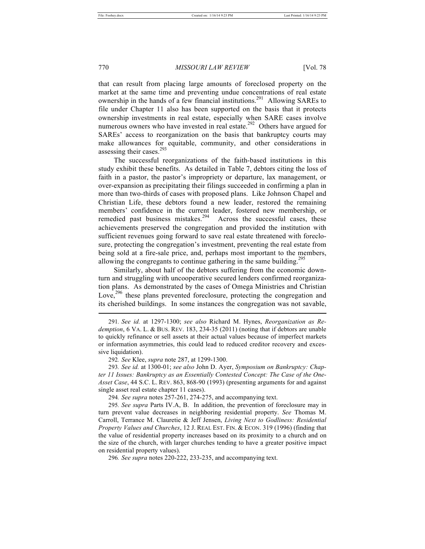that can result from placing large amounts of foreclosed property on the market at the same time and preventing undue concentrations of real estate ownership in the hands of a few financial institutions.<sup>291</sup> Allowing SAREs to file under Chapter 11 also has been supported on the basis that it protects ownership investments in real estate, especially when SARE cases involve numerous owners who have invested in real estate.<sup>292</sup> Others have argued for SAREs' access to reorganization on the basis that bankruptcy courts may make allowances for equitable, community, and other considerations in assessing their cases.<sup>293</sup>

The successful reorganizations of the faith-based institutions in this study exhibit these benefits. As detailed in Table 7, debtors citing the loss of faith in a pastor, the pastor's impropriety or departure, lax management, or over-expansion as precipitating their filings succeeded in confirming a plan in more than two-thirds of cases with proposed plans. Like Johnson Chapel and Christian Life, these debtors found a new leader, restored the remaining members' confidence in the current leader, fostered new membership, or remedied past business mistakes.<sup>294</sup> Across the successful cases, these achievements preserved the congregation and provided the institution with sufficient revenues going forward to save real estate threatened with foreclosure, protecting the congregation's investment, preventing the real estate from being sold at a fire-sale price, and, perhaps most important to the members, allowing the congregants to continue gathering in the same building.<sup>291</sup>

Similarly, about half of the debtors suffering from the economic downturn and struggling with uncooperative secured lenders confirmed reorganization plans. As demonstrated by the cases of Omega Ministries and Christian Love, $296$  these plans prevented foreclosure, protecting the congregation and its cherished buildings. In some instances the congregation was not savable, l

293*. See id.* at 1300-01; *see also* John D. Ayer, *Symposium on Bankruptcy: Chapter 11 Issues: Bankruptcy as an Essentially Contested Concept: The Case of the One-Asset Case*, 44 S.C. L. REV. 863, 868-90 (1993) (presenting arguments for and against single asset real estate chapter 11 cases).

294*. See supra* notes 257-261, 274-275, and accompanying text.

295*. See supra* Parts IV.A, B.In addition, the prevention of foreclosure may in turn prevent value decreases in neighboring residential property. *See* Thomas M. Carroll, Terrance M. Clauretie & Jeff Jensen, *Living Next to Godliness: Residential Property Values and Churches*, 12 J. REAL EST. FIN. & ECON. 319 (1996) (finding that the value of residential property increases based on its proximity to a church and on the size of the church, with larger churches tending to have a greater positive impact on residential property values).

296*. See supra* notes 220-222, 233-235, and accompanying text.

<sup>291</sup>*. See id.* at 1297-1300; *see also* Richard M. Hynes, *Reorganization as Redemption*, 6 VA. L. & BUS. REV. 183, 234-35 (2011) (noting that if debtors are unable to quickly refinance or sell assets at their actual values because of imperfect markets or information asymmetries, this could lead to reduced creditor recovery and excessive liquidation).

<sup>292</sup>*. See* Klee, *supra* note 287, at 1299-1300.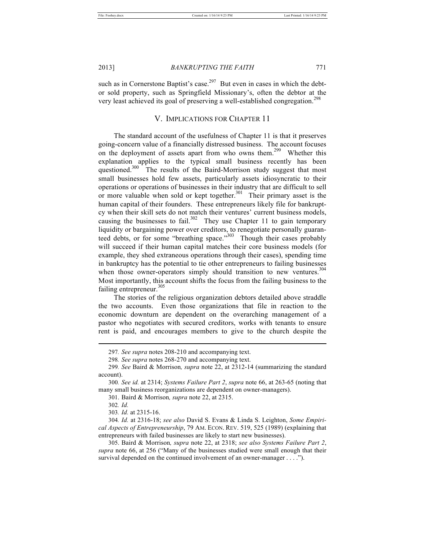such as in Cornerstone Baptist's case.<sup>297</sup> But even in cases in which the debtor sold property, such as Springfield Missionary's, often the debtor at the very least achieved its goal of preserving a well-established congregation.<sup>298</sup>

# V. IMPLICATIONS FOR CHAPTER 11

The standard account of the usefulness of Chapter 11 is that it preserves going-concern value of a financially distressed business. The account focuses on the deployment of assets apart from who owns them.<sup>299</sup> Whether this explanation applies to the typical small business recently has been questioned.<sup>300</sup> The results of the Baird-Morrison study suggest that most small businesses hold few assets, particularly assets idiosyncratic to their operations or operations of businesses in their industry that are difficult to sell or more valuable when sold or kept together.<sup>301</sup> Their primary asset is the human capital of their founders. These entrepreneurs likely file for bankruptcy when their skill sets do not match their ventures' current business models, causing the businesses to fail.<sup>302</sup> They use Chapter 11 to gain temporary liquidity or bargaining power over creditors, to renegotiate personally guaranteed debts, or for some "breathing space."<sup>303</sup> Though their cases probably will succeed if their human capital matches their core business models (for example, they shed extraneous operations through their cases), spending time in bankruptcy has the potential to tie other entrepreneurs to failing businesses when those owner-operators simply should transition to new ventures.<sup>304</sup> Most importantly, this account shifts the focus from the failing business to the failing entrepreneur.<sup>305</sup>

The stories of the religious organization debtors detailed above straddle the two accounts. Even those organizations that file in reaction to the economic downturn are dependent on the overarching management of a pastor who negotiates with secured creditors, works with tenants to ensure rent is paid, and encourages members to give to the church despite the

<sup>297</sup>*. See supra* notes 208-210 and accompanying text.

<sup>298</sup>*. See supra* notes 268-270 and accompanying text.

<sup>299</sup>*. See* Baird & Morrison*, supra* note 22, at 2312-14 (summarizing the standard account).

<sup>300</sup>*. See id.* at 2314; *Systems Failure Part 2*, *supra* note 66, at 263-65 (noting that many small business reorganizations are dependent on owner-managers).

<sup>301.</sup> Baird & Morrison*, supra* note 22, at 2315.

<sup>302</sup>*. Id.*

<sup>303</sup>*. Id.* at 2315-16.

<sup>304</sup>*. Id.* at 2316-18; *see also* David S. Evans & Linda S. Leighton, *Some Empirical Aspects of Entrepreneurship*, 79 AM. ECON. REV. 519, 525 (1989) (explaining that entrepreneurs with failed businesses are likely to start new businesses).

<sup>305.</sup> Baird & Morrison*, supra* note 22, at 2318; *see also Systems Failure Part 2*, *supra* note 66, at 256 ("Many of the businesses studied were small enough that their survival depended on the continued involvement of an owner-manager . . . .").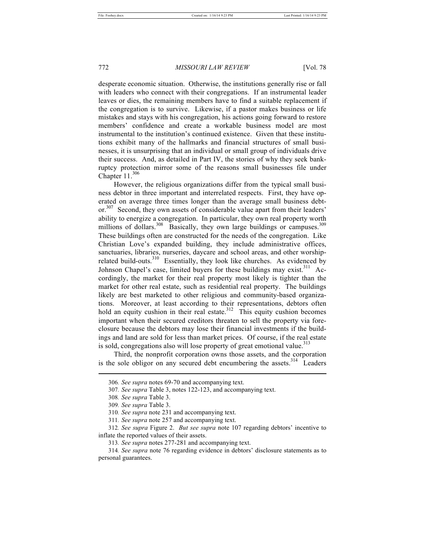desperate economic situation. Otherwise, the institutions generally rise or fall with leaders who connect with their congregations. If an instrumental leader leaves or dies, the remaining members have to find a suitable replacement if the congregation is to survive. Likewise, if a pastor makes business or life mistakes and stays with his congregation, his actions going forward to restore members' confidence and create a workable business model are most instrumental to the institution's continued existence. Given that these institutions exhibit many of the hallmarks and financial structures of small businesses, it is unsurprising that an individual or small group of individuals drive their success. And, as detailed in Part IV, the stories of why they seek bankruptcy protection mirror some of the reasons small businesses file under Chapter  $11^{306}$ 

However, the religious organizations differ from the typical small business debtor in three important and interrelated respects. First, they have operated on average three times longer than the average small business debtor.<sup>307</sup> Second, they own assets of considerable value apart from their leaders' ability to energize a congregation. In particular, they own real property worth millions of dollars.<sup>308</sup> Basically, they own large buildings or campuses.<sup>309</sup> These buildings often are constructed for the needs of the congregation. Like Christian Love's expanded building, they include administrative offices, sanctuaries, libraries, nurseries, daycare and school areas, and other worshiprelated build-outs.<sup>310</sup> Essentially, they look like churches. As evidenced by Johnson Chapel's case, limited buyers for these buildings may exist.<sup>311</sup> Accordingly, the market for their real property most likely is tighter than the market for other real estate, such as residential real property. The buildings likely are best marketed to other religious and community-based organizations. Moreover, at least according to their representations, debtors often hold an equity cushion in their real estate.<sup>312</sup> This equity cushion becomes important when their secured creditors threaten to sell the property via foreclosure because the debtors may lose their financial investments if the buildings and land are sold for less than market prices. Of course, if the real estate is sold, congregations also will lose property of great emotional value.<sup>313</sup>

Third, the nonprofit corporation owns those assets, and the corporation is the sole obligor on any secured debt encumbering the assets.<sup>314</sup> Leaders

<sup>306</sup>*. See supra* notes 69-70 and accompanying text.

<sup>307</sup>*. See supra* Table 3, notes 122-123, and accompanying text.

<sup>308</sup>*. See supra* Table 3.

<sup>309</sup>*. See supra* Table 3.

<sup>310</sup>*. See supra* note 231 and accompanying text.

<sup>311</sup>*. See supra* note 257 and accompanying text.

<sup>312</sup>*. See supra* Figure 2. *But see supra* note 107 regarding debtors' incentive to inflate the reported values of their assets.

<sup>313</sup>*. See supra* notes 277-281 and accompanying text.

<sup>314</sup>*. See supra* note 76 regarding evidence in debtors' disclosure statements as to personal guarantees.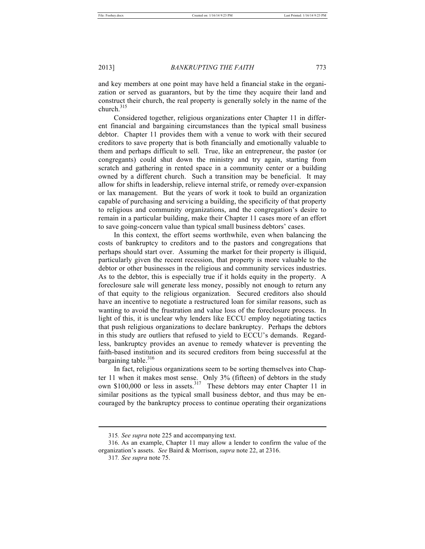and key members at one point may have held a financial stake in the organization or served as guarantors, but by the time they acquire their land and construct their church, the real property is generally solely in the name of the church. $315$ 

Considered together, religious organizations enter Chapter 11 in different financial and bargaining circumstances than the typical small business debtor. Chapter 11 provides them with a venue to work with their secured creditors to save property that is both financially and emotionally valuable to them and perhaps difficult to sell. True, like an entrepreneur, the pastor (or congregants) could shut down the ministry and try again, starting from scratch and gathering in rented space in a community center or a building owned by a different church. Such a transition may be beneficial. It may allow for shifts in leadership, relieve internal strife, or remedy over-expansion or lax management. But the years of work it took to build an organization capable of purchasing and servicing a building, the specificity of that property to religious and community organizations, and the congregation's desire to remain in a particular building, make their Chapter 11 cases more of an effort to save going-concern value than typical small business debtors' cases.

In this context, the effort seems worthwhile, even when balancing the costs of bankruptcy to creditors and to the pastors and congregations that perhaps should start over. Assuming the market for their property is illiquid, particularly given the recent recession, that property is more valuable to the debtor or other businesses in the religious and community services industries. As to the debtor, this is especially true if it holds equity in the property. A foreclosure sale will generate less money, possibly not enough to return any of that equity to the religious organization. Secured creditors also should have an incentive to negotiate a restructured loan for similar reasons, such as wanting to avoid the frustration and value loss of the foreclosure process. In light of this, it is unclear why lenders like ECCU employ negotiating tactics that push religious organizations to declare bankruptcy. Perhaps the debtors in this study are outliers that refused to yield to ECCU's demands. Regardless, bankruptcy provides an avenue to remedy whatever is preventing the faith-based institution and its secured creditors from being successful at the bargaining table. $316$ 

In fact, religious organizations seem to be sorting themselves into Chapter 11 when it makes most sense. Only 3% (fifteen) of debtors in the study own \$100,000 or less in assets.<sup>317</sup> These debtors may enter Chapter 11 in similar positions as the typical small business debtor, and thus may be encouraged by the bankruptcy process to continue operating their organizations

<sup>315</sup>*. See supra* note 225 and accompanying text.

<sup>316.</sup> As an example, Chapter 11 may allow a lender to confirm the value of the organization's assets. *See* Baird & Morrison, *supra* note 22, at 2316.

<sup>317</sup>*. See supra* note 75.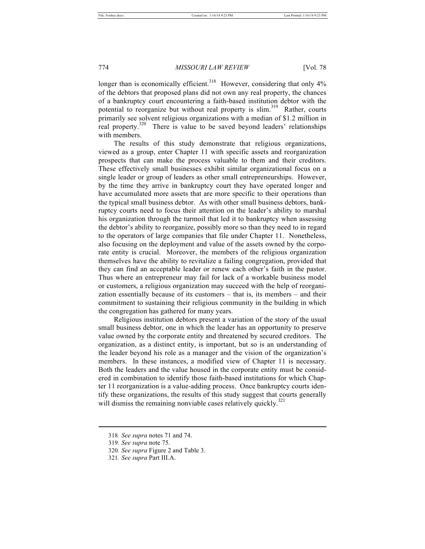longer than is economically efficient.<sup>318</sup> However, considering that only  $4\%$ of the debtors that proposed plans did not own any real property, the chances of a bankruptcy court encountering a faith-based institution debtor with the potential to reorganize but without real property is slim.<sup>319</sup> Rather, courts primarily see solvent religious organizations with a median of \$1.2 million in real property.<sup>320</sup> There is value to be saved beyond leaders' relationships with members.

The results of this study demonstrate that religious organizations, viewed as a group, enter Chapter 11 with specific assets and reorganization prospects that can make the process valuable to them and their creditors. These effectively small businesses exhibit similar organizational focus on a single leader or group of leaders as other small entrepreneurships. However, by the time they arrive in bankruptcy court they have operated longer and have accumulated more assets that are more specific to their operations than the typical small business debtor. As with other small business debtors, bankruptcy courts need to focus their attention on the leader's ability to marshal his organization through the turmoil that led it to bankruptcy when assessing the debtor's ability to reorganize, possibly more so than they need to in regard to the operators of large companies that file under Chapter 11. Nonetheless, also focusing on the deployment and value of the assets owned by the corporate entity is crucial. Moreover, the members of the religious organization themselves have the ability to revitalize a failing congregation, provided that they can find an acceptable leader or renew each other's faith in the pastor. Thus where an entrepreneur may fail for lack of a workable business model or customers, a religious organization may succeed with the help of reorganization essentially because of its customers – that is, its members – and their commitment to sustaining their religious community in the building in which the congregation has gathered for many years.

Religious institution debtors present a variation of the story of the usual small business debtor, one in which the leader has an opportunity to preserve value owned by the corporate entity and threatened by secured creditors. The organization, as a distinct entity, is important, but so is an understanding of the leader beyond his role as a manager and the vision of the organization's members. In these instances, a modified view of Chapter 11 is necessary. Both the leaders and the value housed in the corporate entity must be considered in combination to identify those faith-based institutions for which Chapter 11 reorganization is a value-adding process. Once bankruptcy courts identify these organizations, the results of this study suggest that courts generally will dismiss the remaining nonviable cases relatively quickly.<sup>321</sup>

<sup>318</sup>*. See supra* notes 71 and 74.

<sup>319</sup>*. See supra* note 75.

<sup>320</sup>*. See supra* Figure 2 and Table 3.

<sup>321</sup>*. See supra* Part III.A.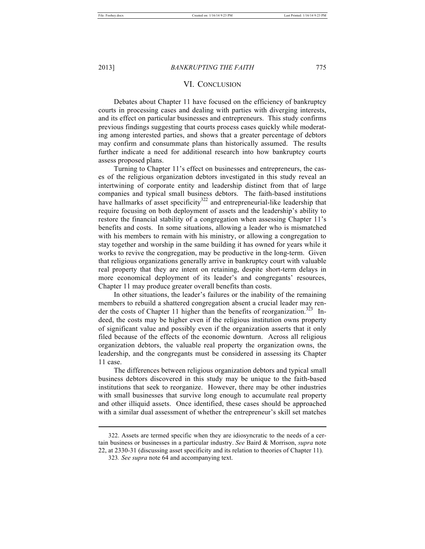# VI. CONCLUSION

Debates about Chapter 11 have focused on the efficiency of bankruptcy courts in processing cases and dealing with parties with diverging interests, and its effect on particular businesses and entrepreneurs. This study confirms previous findings suggesting that courts process cases quickly while moderating among interested parties, and shows that a greater percentage of debtors may confirm and consummate plans than historically assumed. The results further indicate a need for additional research into how bankruptcy courts assess proposed plans.

Turning to Chapter 11's effect on businesses and entrepreneurs, the cases of the religious organization debtors investigated in this study reveal an intertwining of corporate entity and leadership distinct from that of large companies and typical small business debtors. The faith-based institutions have hallmarks of asset specificity $322$  and entrepreneurial-like leadership that require focusing on both deployment of assets and the leadership's ability to restore the financial stability of a congregation when assessing Chapter 11's benefits and costs. In some situations, allowing a leader who is mismatched with his members to remain with his ministry, or allowing a congregation to stay together and worship in the same building it has owned for years while it works to revive the congregation, may be productive in the long-term. Given that religious organizations generally arrive in bankruptcy court with valuable real property that they are intent on retaining, despite short-term delays in more economical deployment of its leader's and congregants' resources, Chapter 11 may produce greater overall benefits than costs.

In other situations, the leader's failures or the inability of the remaining members to rebuild a shattered congregation absent a crucial leader may render the costs of Chapter 11 higher than the benefits of reorganization.<sup>323</sup> Indeed, the costs may be higher even if the religious institution owns property of significant value and possibly even if the organization asserts that it only filed because of the effects of the economic downturn. Across all religious organization debtors, the valuable real property the organization owns, the leadership, and the congregants must be considered in assessing its Chapter 11 case.

The differences between religious organization debtors and typical small business debtors discovered in this study may be unique to the faith-based institutions that seek to reorganize. However, there may be other industries with small businesses that survive long enough to accumulate real property and other illiquid assets. Once identified, these cases should be approached with a similar dual assessment of whether the entrepreneur's skill set matches

322. Assets are termed specific when they are idiosyncratic to the needs of a certain business or businesses in a particular industry. *See* Baird & Morrison, *supra* note 22, at 2330-31 (discussing asset specificity and its relation to theories of Chapter 11).

<sup>323</sup>*. See supra* note 64 and accompanying text.